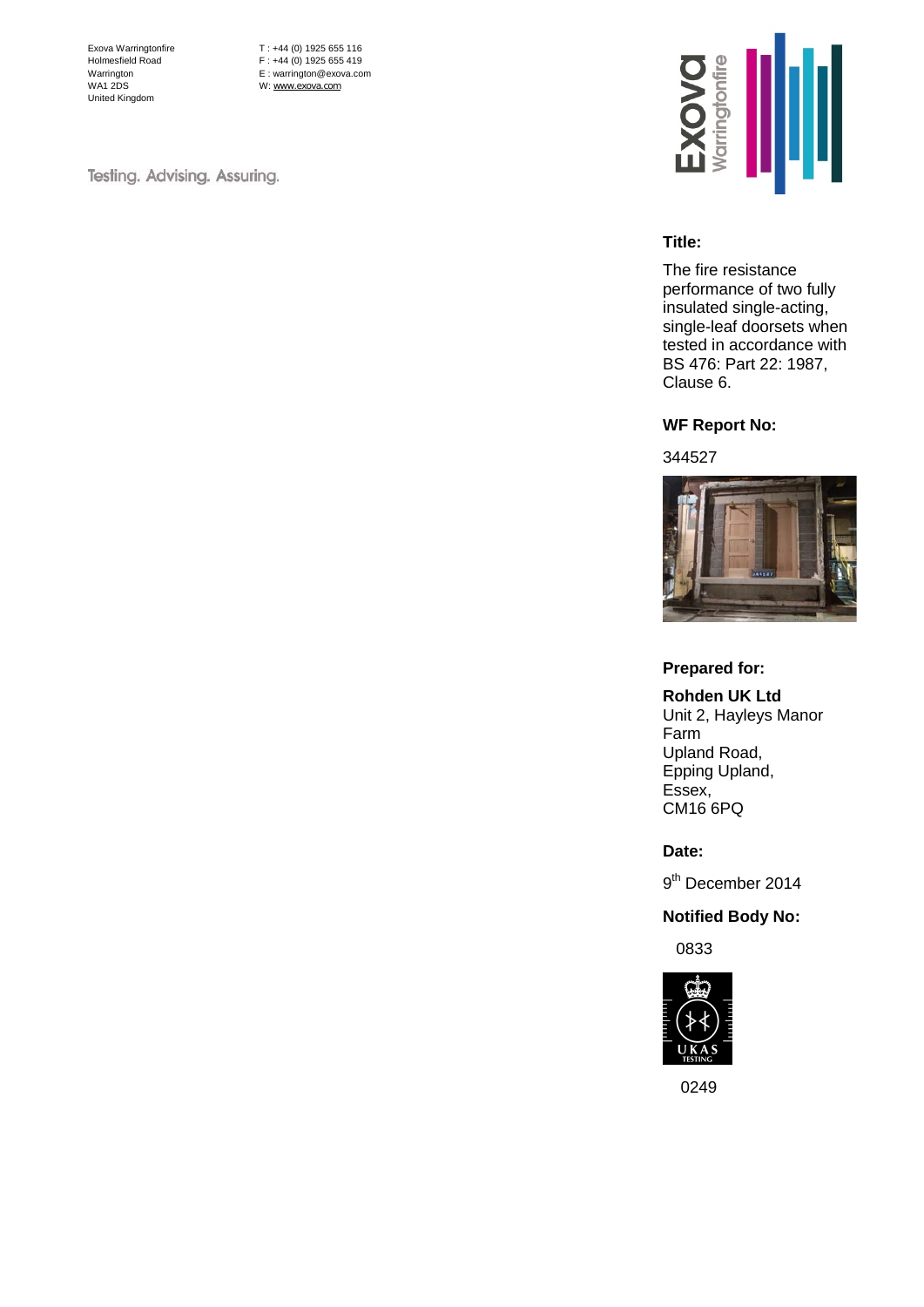Exova Warringtonfire Holmesfield Road Warrington WA1 2DS United Kingdom

T : +44 (0) 1925 655 116 F : +44 (0) 1925 655 419 E : warrington@exova.com W: [www.exova.com](http://www.exova.com/)

Testing. Advising. Assuring.



#### **Title:**

The fire resistance performance of two fully insulated single-acting, single-leaf doorsets when tested in accordance with BS 476: Part 22: 1987, Clause 6.

#### **WF Report No:**

#### 344527



#### **Prepared for:**

**Rohden UK Ltd** Unit 2, Hayleys Manor Farm Upland Road, Epping Upland, Essex, CM16 6PQ

**Date:**

9<sup>th</sup> December 2014

#### **Notified Body No:**

0833



0249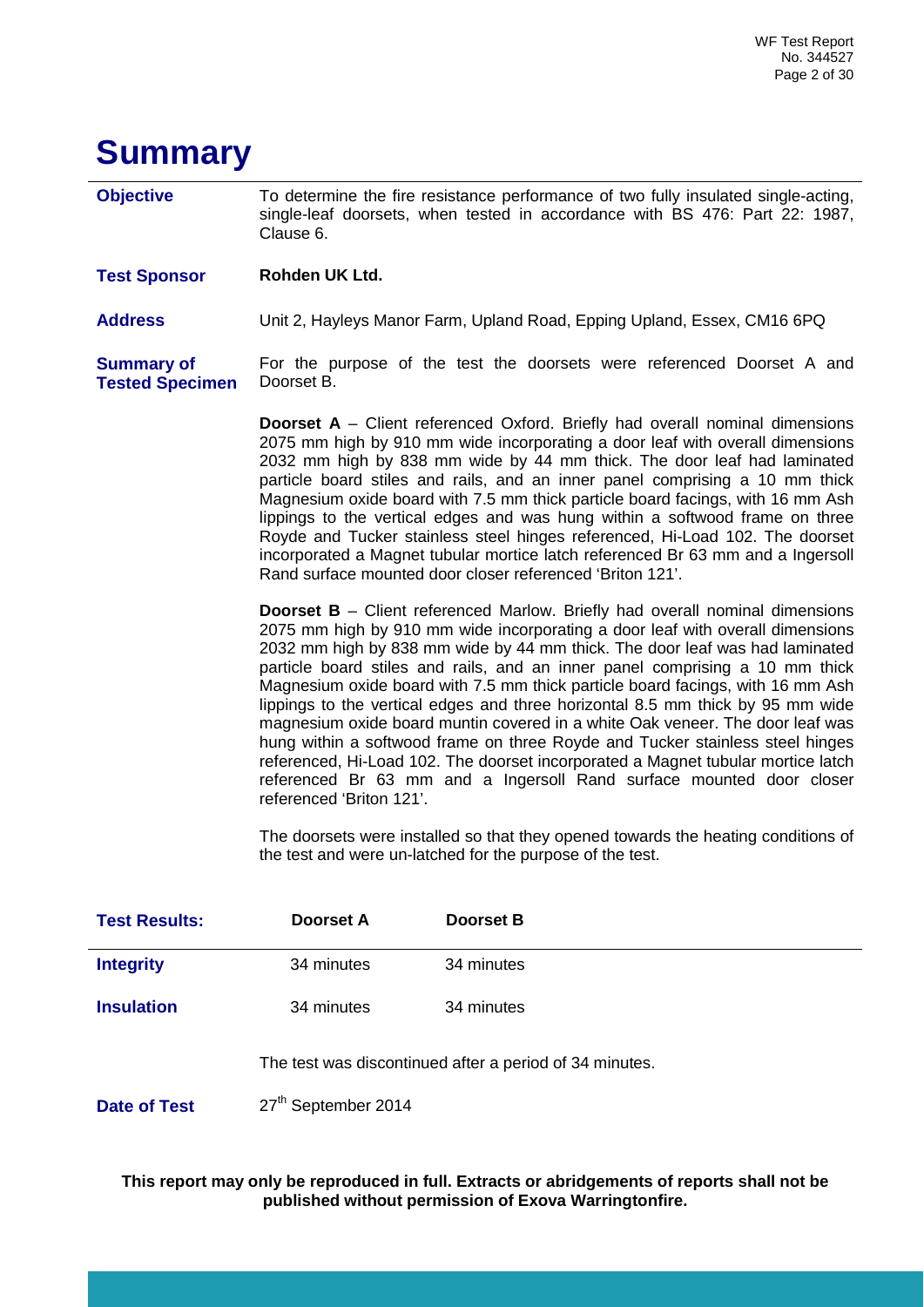## <span id="page-1-0"></span>**Summary**

**Objective** To determine the fire resistance performance of two fully insulated single-acting, single-leaf doorsets, when tested in accordance with BS 476: Part 22: 1987, Clause 6.

**Test Sponsor Rohden UK Ltd.**

**Address** Unit 2, Hayleys Manor Farm, Upland Road, Epping Upland, Essex, CM16 6PQ

**Summary of Tested Specimen** For the purpose of the test the doorsets were referenced Doorset A and Doorset B.

> **Doorset A** – Client referenced Oxford. Briefly had overall nominal dimensions 2075 mm high by 910 mm wide incorporating a door leaf with overall dimensions 2032 mm high by 838 mm wide by 44 mm thick. The door leaf had laminated particle board stiles and rails, and an inner panel comprising a 10 mm thick Magnesium oxide board with 7.5 mm thick particle board facings, with 16 mm Ash lippings to the vertical edges and was hung within a softwood frame on three Royde and Tucker stainless steel hinges referenced, Hi-Load 102. The doorset incorporated a Magnet tubular mortice latch referenced Br 63 mm and a Ingersoll Rand surface mounted door closer referenced 'Briton 121'.

> **Doorset B** – Client referenced Marlow. Briefly had overall nominal dimensions 2075 mm high by 910 mm wide incorporating a door leaf with overall dimensions 2032 mm high by 838 mm wide by 44 mm thick. The door leaf was had laminated particle board stiles and rails, and an inner panel comprising a 10 mm thick Magnesium oxide board with 7.5 mm thick particle board facings, with 16 mm Ash lippings to the vertical edges and three horizontal 8.5 mm thick by 95 mm wide magnesium oxide board muntin covered in a white Oak veneer. The door leaf was hung within a softwood frame on three Royde and Tucker stainless steel hinges referenced, Hi-Load 102. The doorset incorporated a Magnet tubular mortice latch referenced Br 63 mm and a Ingersoll Rand surface mounted door closer referenced 'Briton 121'.

> The doorsets were installed so that they opened towards the heating conditions of the test and were un-latched for the purpose of the test.

| <b>Test Results:</b> | Doorset A  | <b>Doorset B</b>                                        |
|----------------------|------------|---------------------------------------------------------|
| <b>Integrity</b>     | 34 minutes | 34 minutes                                              |
| <b>Insulation</b>    | 34 minutes | 34 minutes                                              |
|                      |            | The test was discontinued after a period of 34 minutes. |

**Date of Test** 27<sup>th</sup> September 2014

**This report may only be reproduced in full. Extracts or abridgements of reports shall not be published without permission of Exova Warringtonfire.**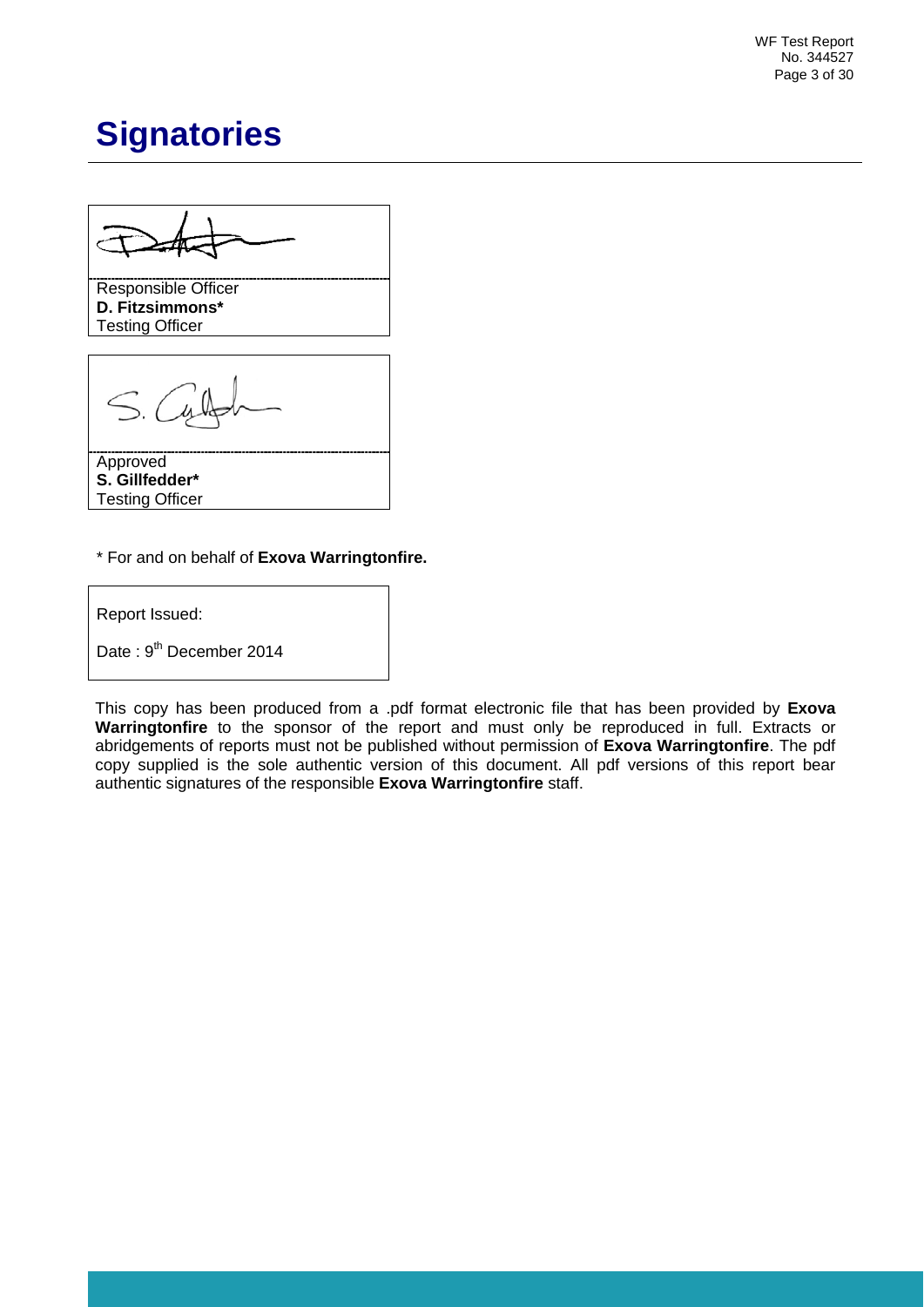WF Test Report No. 344527 Page 3 of 30

## <span id="page-2-0"></span>**Signatories**

Responsible Officer **D. Fitzsimmons\*** Testing Officer

Approved **S. Gillfedder\*** Testing Officer

\* For and on behalf of **Exova Warringtonfire.**

Report Issued:

Date: 9<sup>th</sup> December 2014

This copy has been produced from a .pdf format electronic file that has been provided by **Exova Warringtonfire** to the sponsor of the report and must only be reproduced in full. Extracts or abridgements of reports must not be published without permission of **Exova Warringtonfire**. The pdf copy supplied is the sole authentic version of this document. All pdf versions of this report bear authentic signatures of the responsible **Exova Warringtonfire** staff.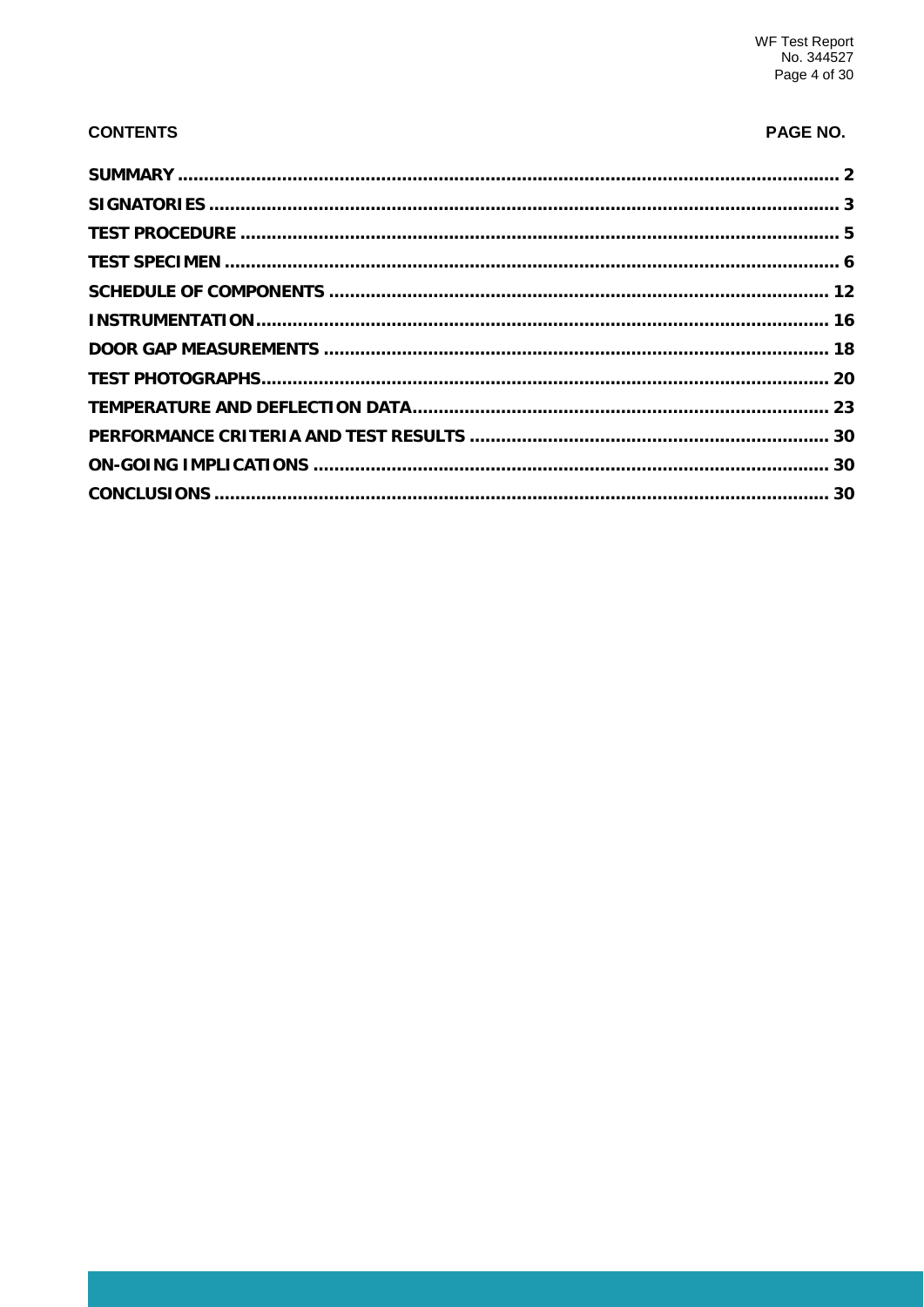### **CONTENTS**

### PAGE NO.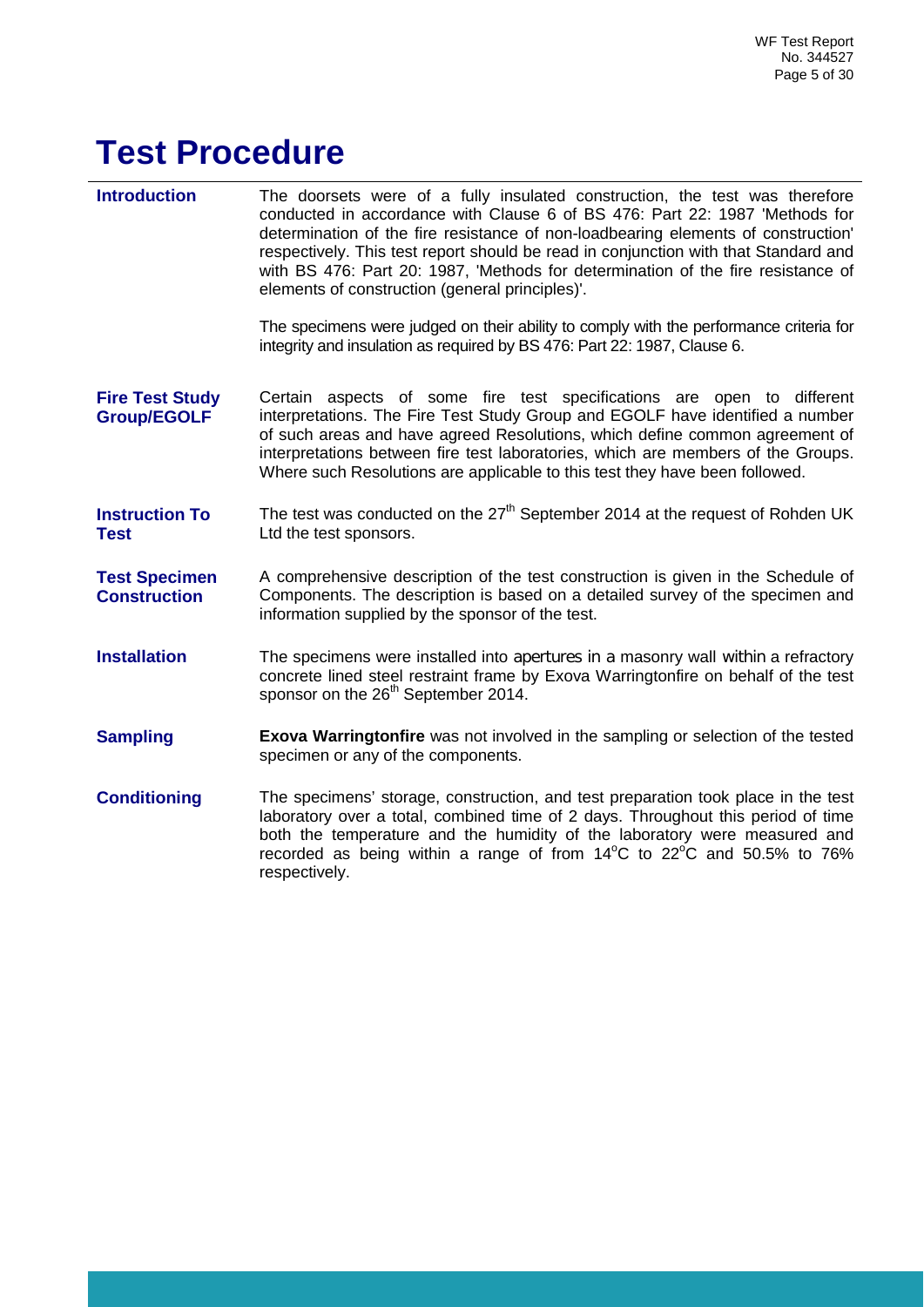# <span id="page-4-0"></span>**Test Procedure**

**Introduction** The doorsets were of a fully insulated construction, the test was therefore conducted in accordance with Clause 6 of BS 476: Part 22: 1987 'Methods for determination of the fire resistance of non-loadbearing elements of construction' respectively. This test report should be read in conjunction with that Standard and with BS 476: Part 20: 1987, 'Methods for determination of the fire resistance of elements of construction (general principles)'. The specimens were judged on their ability to comply with the performance criteria for integrity and insulation as required by BS 476: Part 22: 1987, Clause 6. **Fire Test Study Group/EGOLF** Certain aspects of some fire test specifications are open to different interpretations. The Fire Test Study Group and EGOLF have identified a number of such areas and have agreed Resolutions, which define common agreement of interpretations between fire test laboratories, which are members of the Groups. Where such Resolutions are applicable to this test they have been followed. **Instruction To Test** The test was conducted on the  $27<sup>th</sup>$  September 2014 at the request of Rohden UK Ltd the test sponsors. **Test Specimen Construction**  A comprehensive description of the test construction is given in the Schedule of Components. The description is based on a detailed survey of the specimen and information supplied by the sponsor of the test. **Installation** The specimens were installed into apertures in a masonry wall within a refractory concrete lined steel restraint frame by Exova Warringtonfire on behalf of the test sponsor on the 26<sup>th</sup> September 2014. **Sampling <b>Exova Warringtonfire** was not involved in the sampling or selection of the tested specimen or any of the components. **Conditioning** The specimens' storage, construction, and test preparation took place in the test laboratory over a total, combined time of 2 days. Throughout this period of time both the temperature and the humidity of the laboratory were measured and recorded as being within a range of from  $14^{\circ}$ C to  $22^{\circ}$ C and 50.5% to 76% respectively.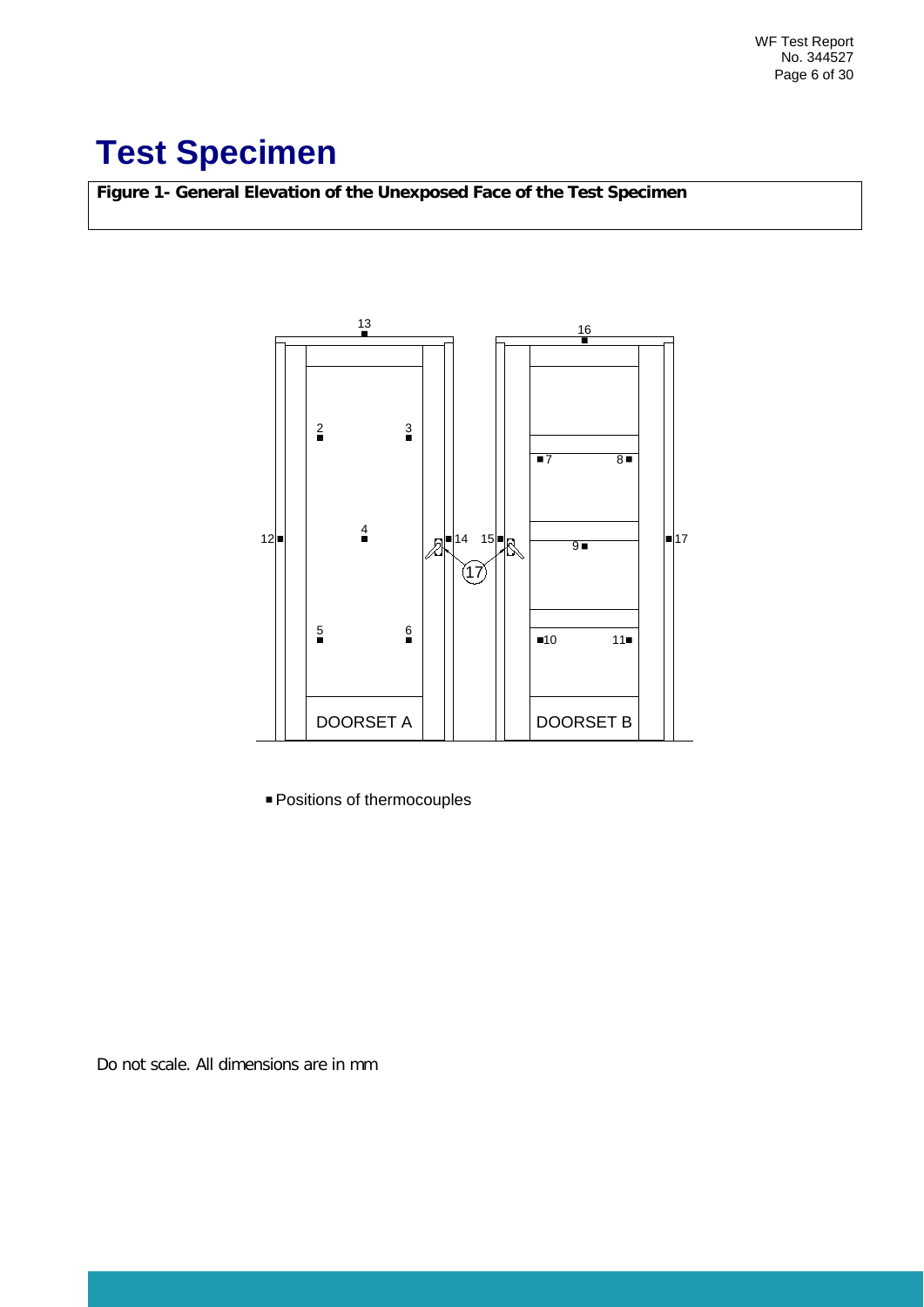# <span id="page-5-0"></span>**Test Specimen**

**Figure 1- General Elevation of the Unexposed Face of the Test Specimen**



Positions of thermocouples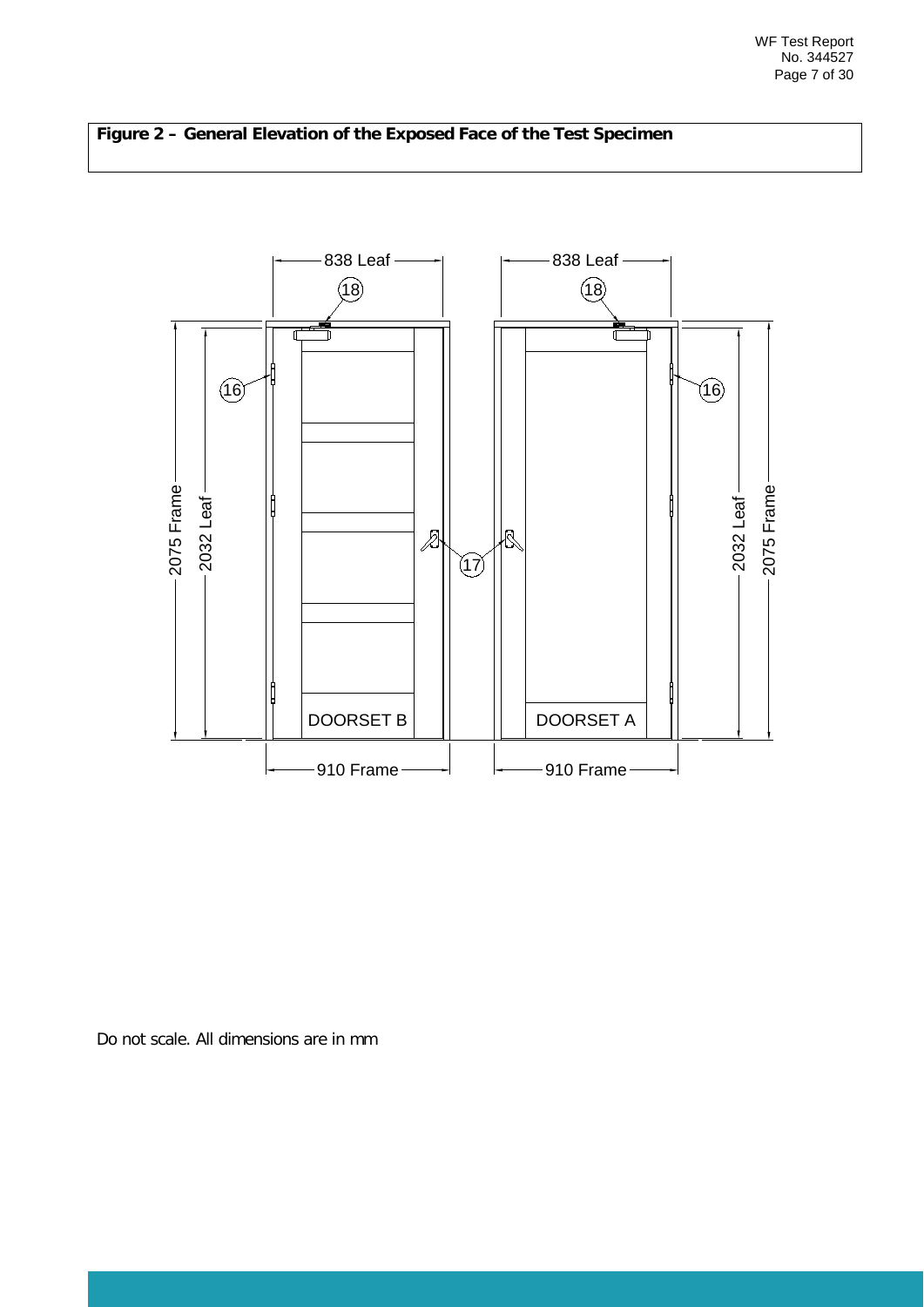

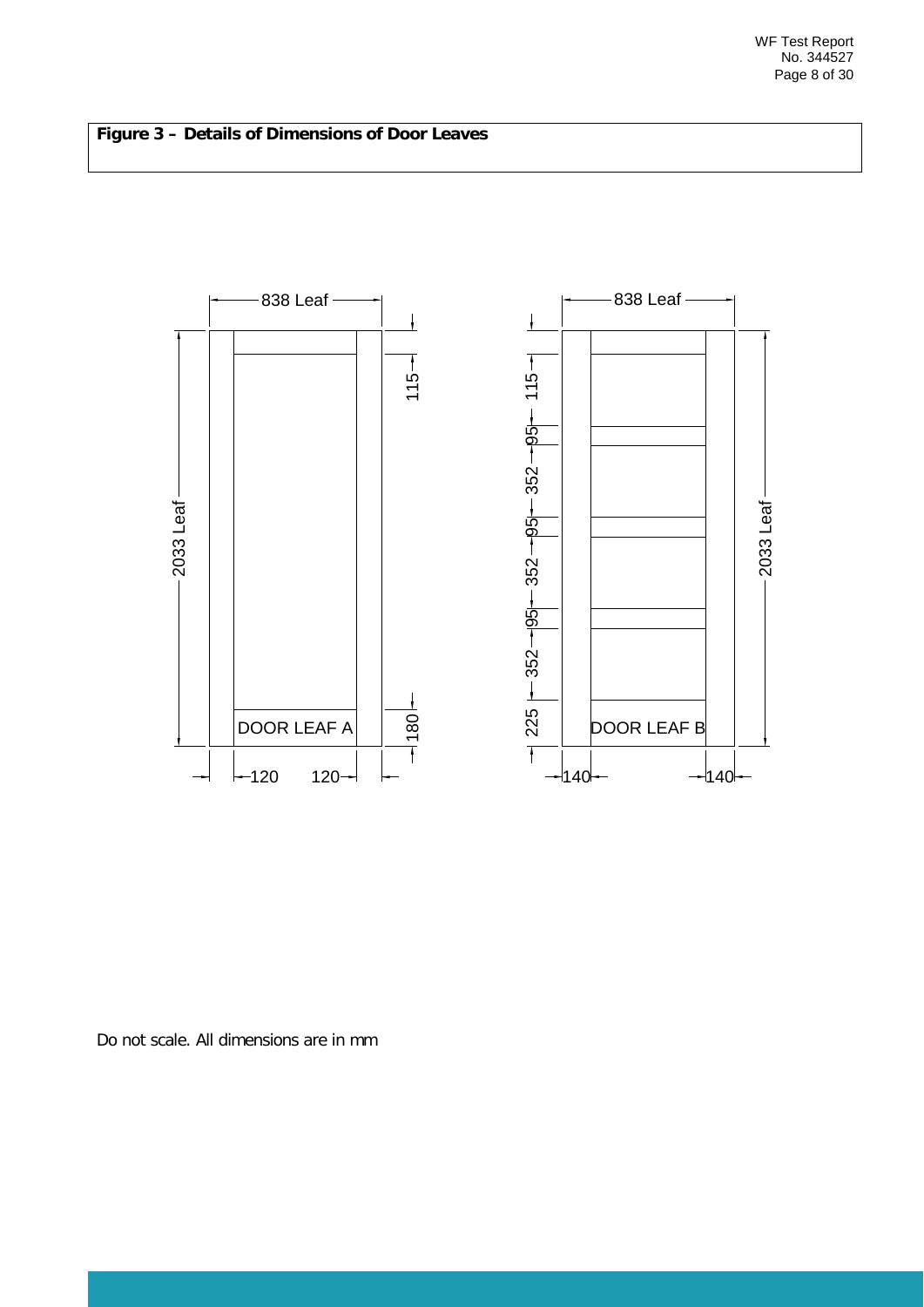### **Figure 3 – Details of Dimensions of Door Leaves**

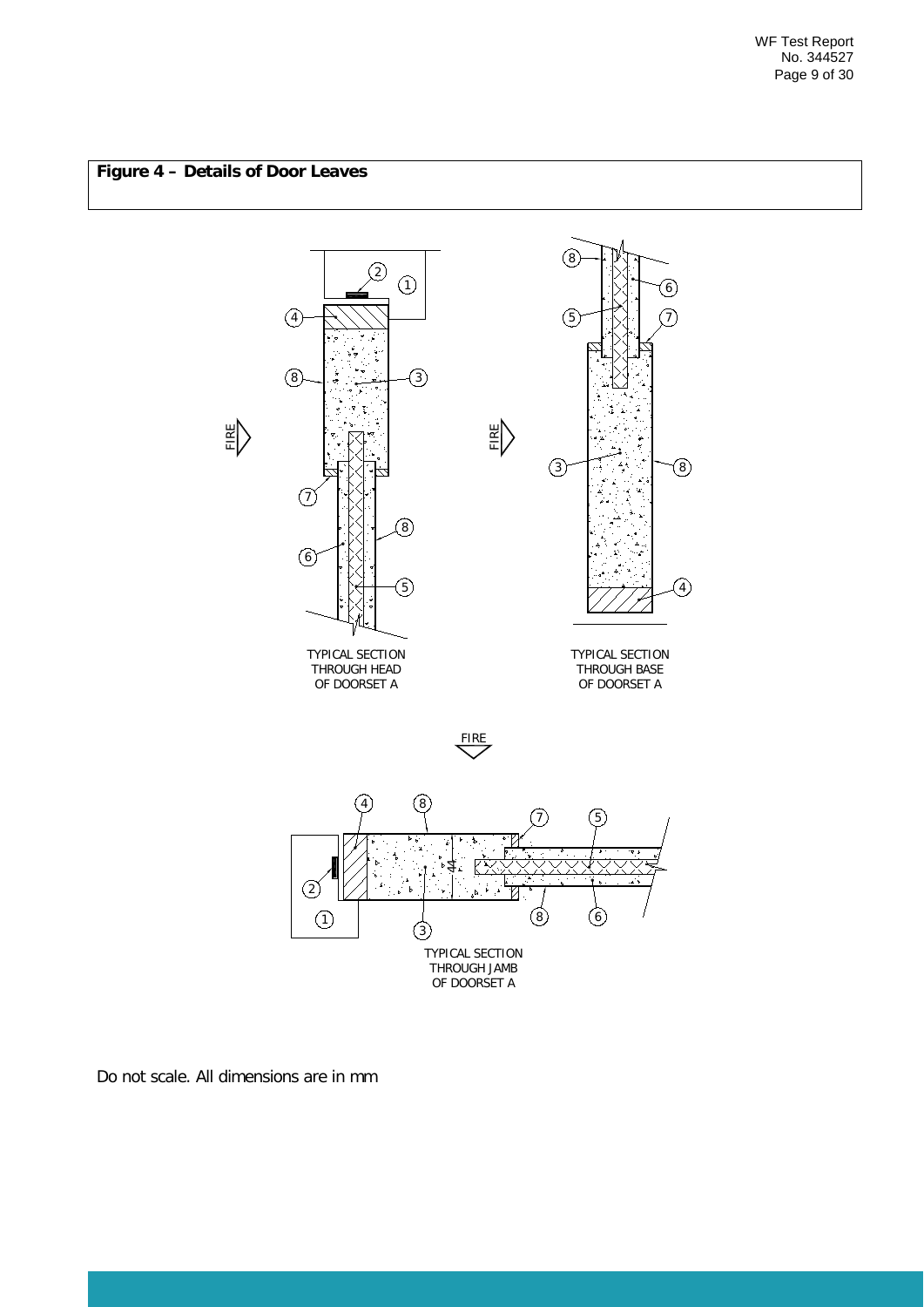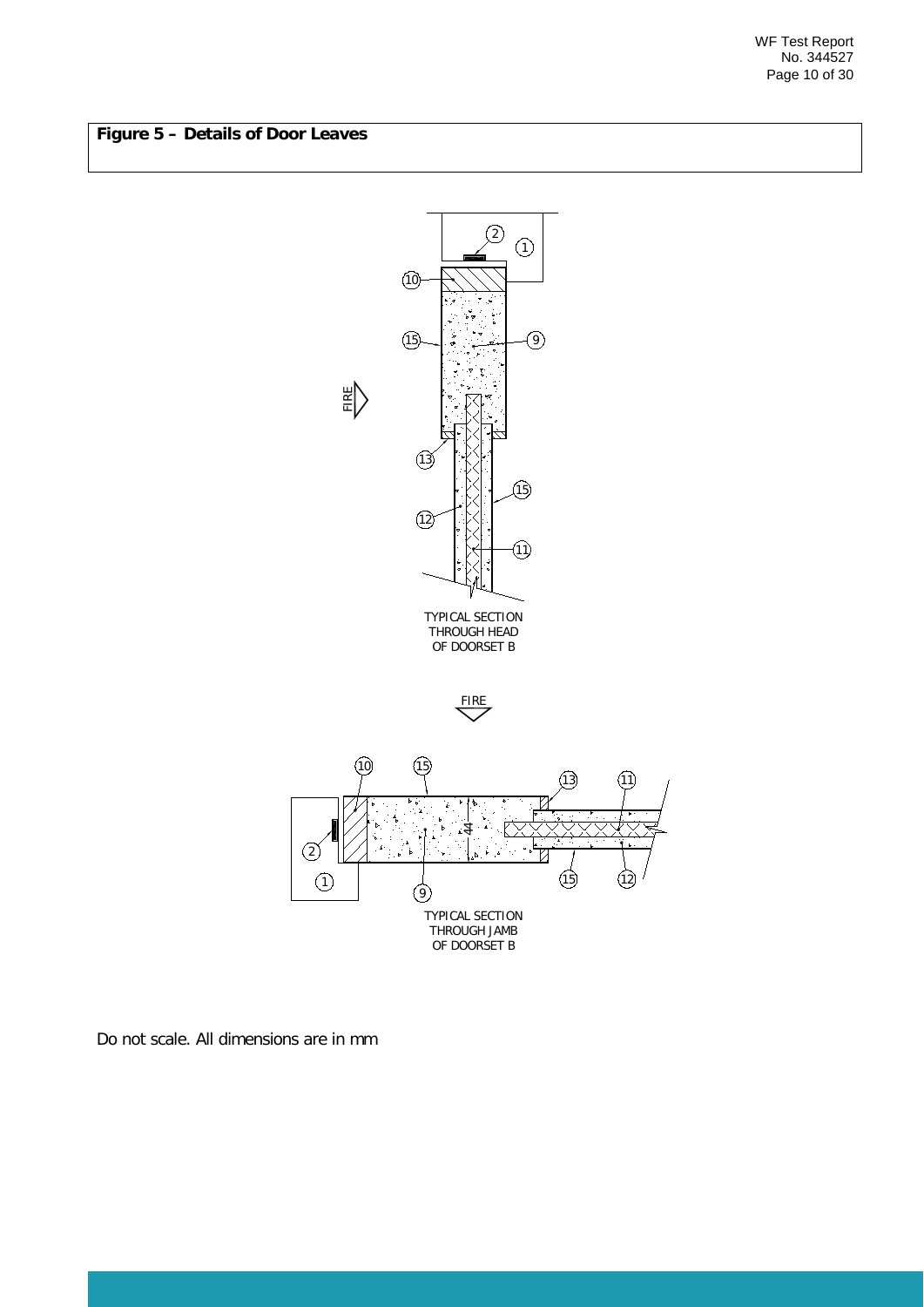WF Test Report No. 344527 Page 10 of 30

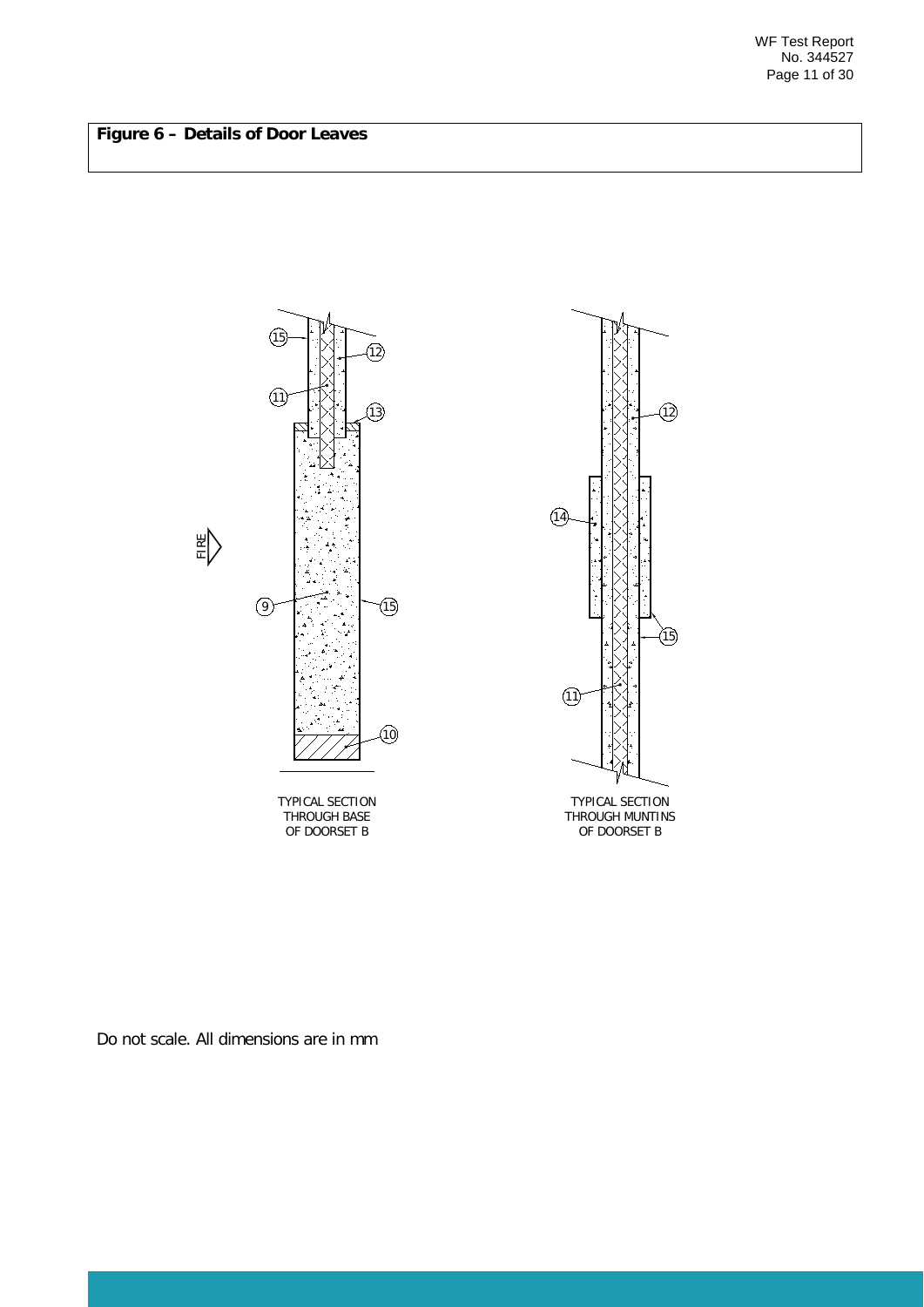

THROUGH BASE TYPICAL SECTION OF DOORSET B



THROUGH MUNTINS OF DOORSET B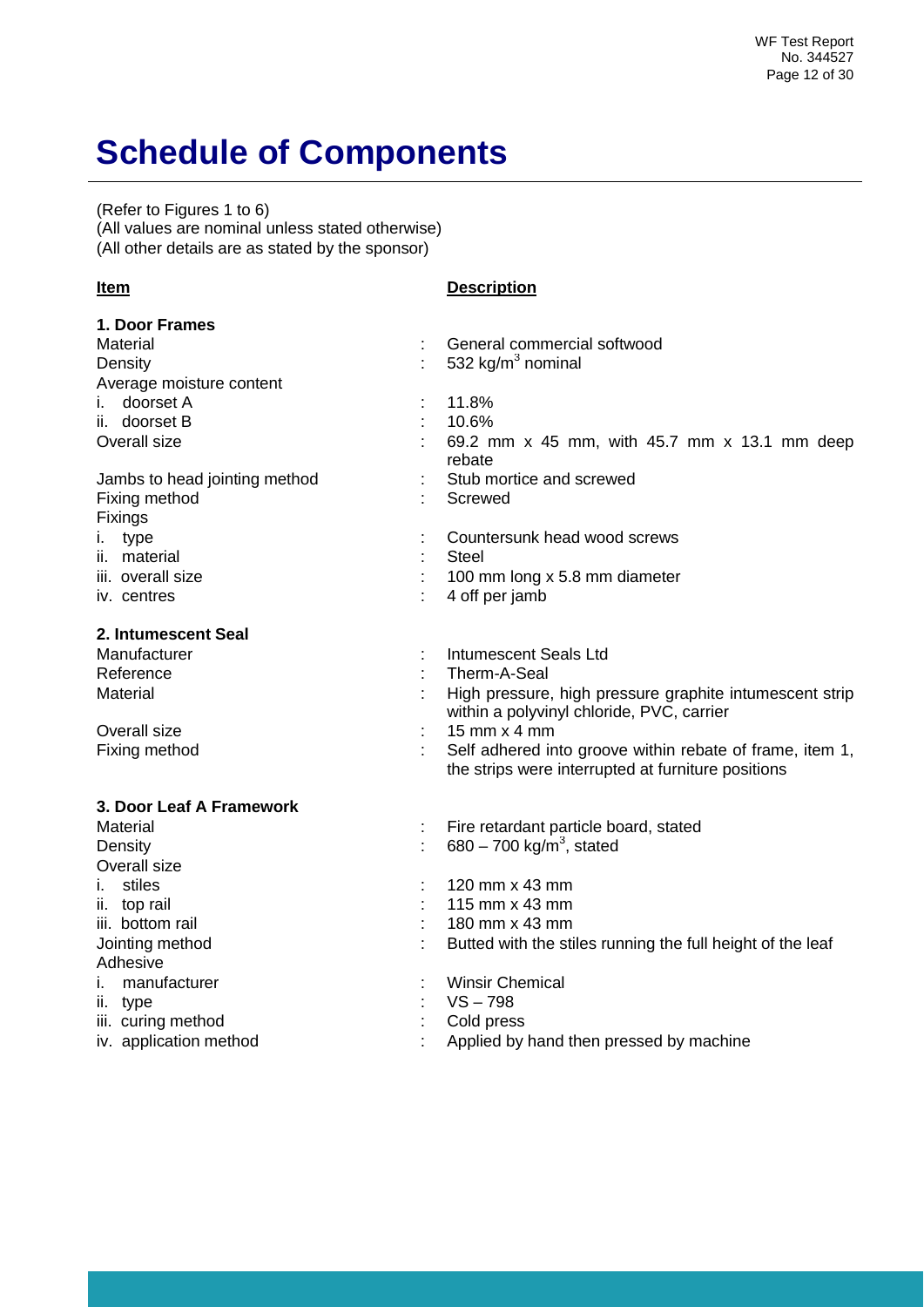# <span id="page-11-0"></span>**Schedule of Components**

(Refer to Figures 1 to 6) (All values are nominal unless stated otherwise) (All other details are as stated by the sponsor)

**Item Description**

| 1. Door Frames                |                                                                                                                |
|-------------------------------|----------------------------------------------------------------------------------------------------------------|
| Material                      | General commercial softwood                                                                                    |
| Density                       | 532 $kg/m3$ nominal                                                                                            |
| Average moisture content      |                                                                                                                |
| i. doorset A                  | 11.8%                                                                                                          |
| ii. doorset B                 | 10.6%                                                                                                          |
| Overall size                  | 69.2 mm x 45 mm, with 45.7 mm x 13.1 mm deep<br>rebate                                                         |
| Jambs to head jointing method | Stub mortice and screwed                                                                                       |
| Fixing method<br>Fixings      | Screwed                                                                                                        |
| i. type                       | Countersunk head wood screws                                                                                   |
| ii. material                  | <b>Steel</b>                                                                                                   |
| iii. overall size             | 100 mm long x 5.8 mm diameter                                                                                  |
| iv. centres                   | 4 off per jamb                                                                                                 |
| 2. Intumescent Seal           |                                                                                                                |
| Manufacturer                  | <b>Intumescent Seals Ltd</b>                                                                                   |
| Reference                     | Therm-A-Seal                                                                                                   |
| Material                      | High pressure, high pressure graphite intumescent strip<br>within a polyvinyl chloride, PVC, carrier           |
| Overall size                  | 15 mm $\times$ 4 mm                                                                                            |
| Fixing method                 | Self adhered into groove within rebate of frame, item 1,<br>the strips were interrupted at furniture positions |
| 3. Door Leaf A Framework      |                                                                                                                |
| <b>Material</b>               | Fire retardant particle board, stated                                                                          |
| Density                       | 680 – 700 kg/m <sup>3</sup> , stated                                                                           |
| Overall size                  |                                                                                                                |
| stiles<br>i.                  | 120 mm x 43 mm                                                                                                 |
| ii. top rail                  | 115 mm x 43 mm                                                                                                 |
| iii. bottom rail              | 180 mm x 43 mm                                                                                                 |
| Jointing method               | Butted with the stiles running the full height of the leaf                                                     |
| Adhesive                      |                                                                                                                |
| manufacturer<br>i.            | <b>Winsir Chemical</b>                                                                                         |
| ii. type                      | $VS - 798$                                                                                                     |
| iii. curing method            | Cold press                                                                                                     |
| iv. application method        | Applied by hand then pressed by machine                                                                        |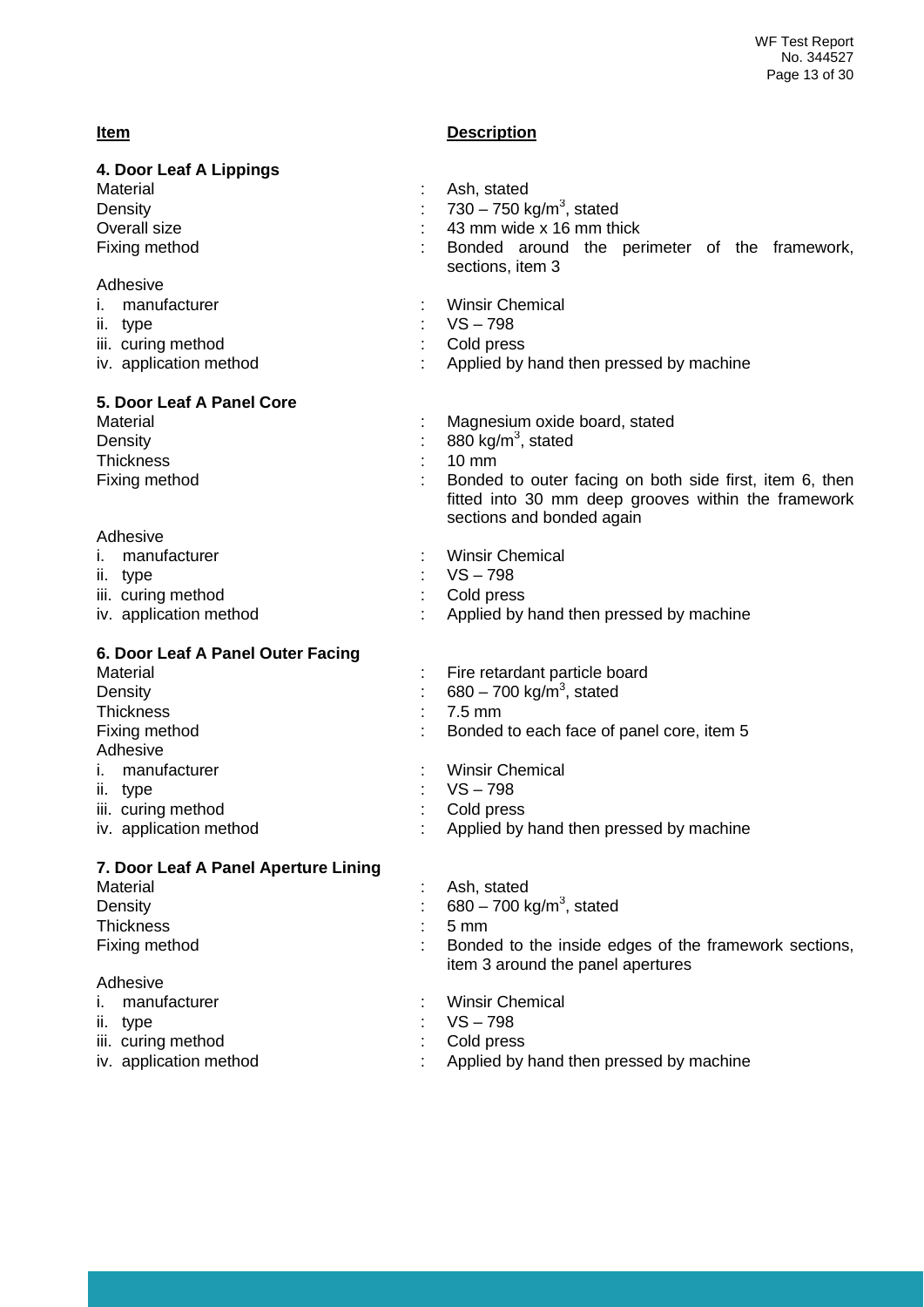### **Item Description**

| 4. Door Leaf A Lippings              |                                                                                            |
|--------------------------------------|--------------------------------------------------------------------------------------------|
| Material                             | Ash, stated                                                                                |
| Density                              | 730 – 750 kg/m <sup>3</sup> , stated                                                       |
| Overall size                         | 43 mm wide x 16 mm thick                                                                   |
| Fixing method                        | Bonded around the perimeter of the framework,                                              |
|                                      | sections, item 3                                                                           |
| Adhesive                             |                                                                                            |
| manufacturer                         | <b>Winsir Chemical</b>                                                                     |
| ii. type                             | $VS - 798$                                                                                 |
| iii. curing method                   | Cold press                                                                                 |
| iv. application method               | Applied by hand then pressed by machine                                                    |
| 5. Door Leaf A Panel Core            |                                                                                            |
| Material                             | Magnesium oxide board, stated                                                              |
|                                      |                                                                                            |
| Density                              | 880 kg/m <sup>3</sup> , stated                                                             |
| <b>Thickness</b>                     | $10 \, \text{mm}$                                                                          |
| Fixing method                        | Bonded to outer facing on both side first, item 6, then                                    |
|                                      | fitted into 30 mm deep grooves within the framework                                        |
|                                      | sections and bonded again                                                                  |
| Adhesive                             |                                                                                            |
| manufacturer<br>Τ.                   | <b>Winsir Chemical</b>                                                                     |
| ii. type                             | $VS - 798$                                                                                 |
| iii. curing method                   | Cold press                                                                                 |
| iv. application method               | Applied by hand then pressed by machine                                                    |
| 6. Door Leaf A Panel Outer Facing    |                                                                                            |
| Material                             | Fire retardant particle board                                                              |
| Density                              | 680 - 700 kg/m <sup>3</sup> , stated                                                       |
|                                      |                                                                                            |
| <b>Thickness</b>                     | 7.5 mm                                                                                     |
| Fixing method                        | Bonded to each face of panel core, item 5                                                  |
| Adhesive                             |                                                                                            |
| manufacturer                         | <b>Winsir Chemical</b>                                                                     |
| ii. type                             | $VS - 798$                                                                                 |
| iii. curing method                   | Cold press                                                                                 |
| iv. application method               | Applied by hand then pressed by machine                                                    |
| 7. Door Leaf A Panel Aperture Lining |                                                                                            |
| Material                             | Ash, stated                                                                                |
| Density                              | 680 – 700 kg/m <sup>3</sup> , stated                                                       |
|                                      |                                                                                            |
| <b>Thickness</b>                     | 5 <sub>mm</sub>                                                                            |
| Fixing method                        | Bonded to the inside edges of the framework sections,<br>item 3 around the panel apertures |
| Adhesive                             |                                                                                            |
| manufacturer                         | <b>Winsir Chemical</b>                                                                     |
| type<br>н.                           | $VS - 798$                                                                                 |
|                                      |                                                                                            |
| iii. curing method                   | Cold press                                                                                 |
| iv. application method               | Applied by hand then pressed by machine                                                    |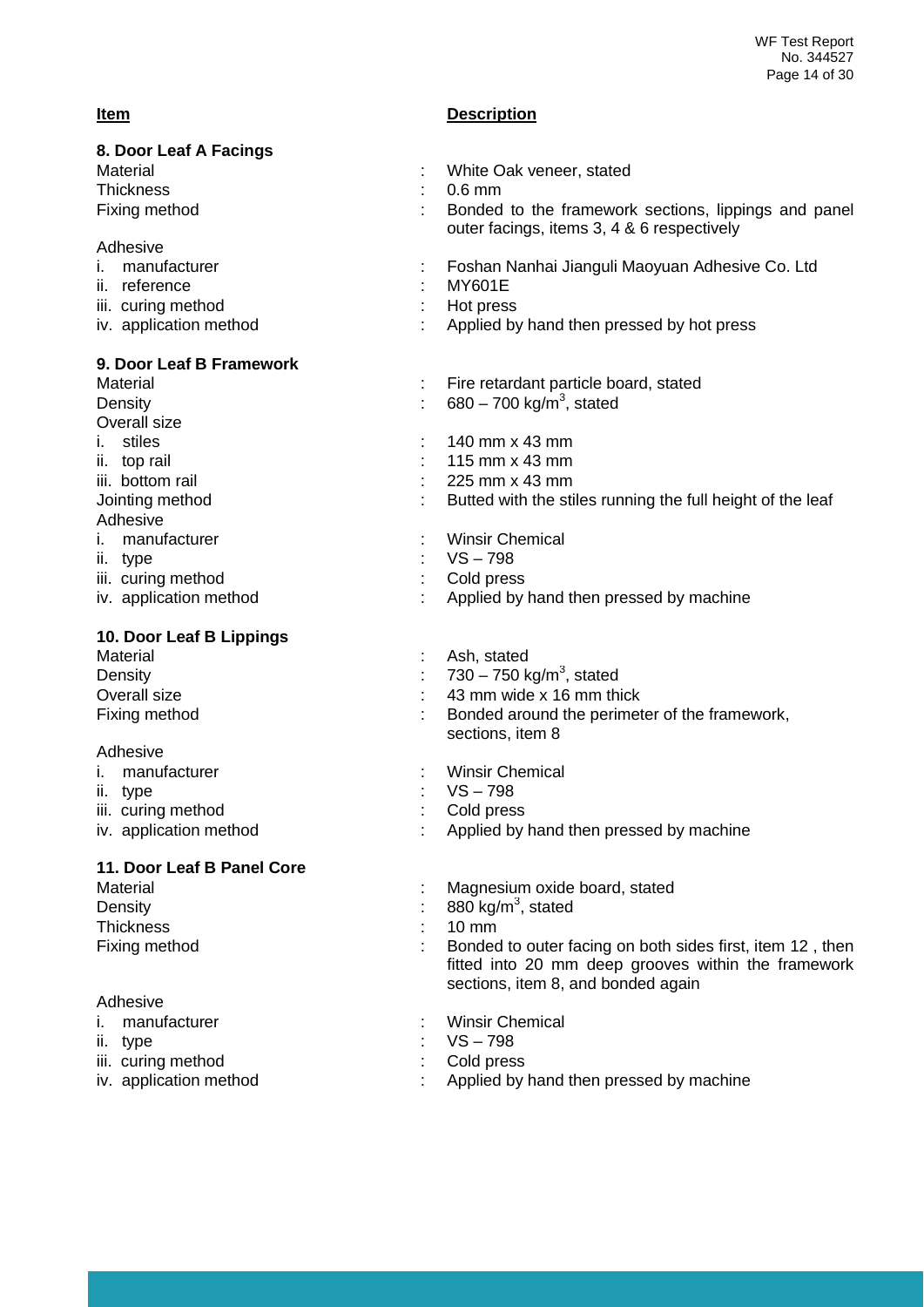#### **Item Description**

| 8. Door Leaf A Facings      |                                                                                                                                                        |
|-----------------------------|--------------------------------------------------------------------------------------------------------------------------------------------------------|
| Material                    | White Oak veneer, stated                                                                                                                               |
| Thickness                   | $0.6$ mm                                                                                                                                               |
| Fixing method               | Bonded to the framework sections, lippings and panel<br>outer facings, items 3, 4 & 6 respectively                                                     |
| Adhesive                    |                                                                                                                                                        |
| manufacturer<br>Τ.          | Foshan Nanhai Jianguli Maoyuan Adhesive Co. Ltd                                                                                                        |
| ii. reference               | <b>MY601E</b>                                                                                                                                          |
| iii. curing method          | Hot press                                                                                                                                              |
| iv. application method      | Applied by hand then pressed by hot press                                                                                                              |
| 9. Door Leaf B Framework    |                                                                                                                                                        |
| Material                    | Fire retardant particle board, stated                                                                                                                  |
| Density                     | 680 – 700 kg/m <sup>3</sup> , stated                                                                                                                   |
| Overall size                |                                                                                                                                                        |
| stiles<br>Τ.                | 140 mm x 43 mm                                                                                                                                         |
| ii. top rail                | 115 mm x 43 mm                                                                                                                                         |
| iii. bottom rail            | 225 mm x 43 mm                                                                                                                                         |
| Jointing method<br>Adhesive | Butted with the stiles running the full height of the leaf                                                                                             |
| manufacturer<br>Τ.          | <b>Winsir Chemical</b>                                                                                                                                 |
| ii. type                    | $VS - 798$                                                                                                                                             |
| iii. curing method          | Cold press                                                                                                                                             |
| iv. application method      | Applied by hand then pressed by machine                                                                                                                |
| 10. Door Leaf B Lippings    |                                                                                                                                                        |
| <b>Material</b>             | Ash, stated                                                                                                                                            |
| Density                     | 730 – 750 kg/m <sup>3</sup> , stated                                                                                                                   |
| Overall size                | 43 mm wide x 16 mm thick                                                                                                                               |
| Fixing method               | Bonded around the perimeter of the framework,                                                                                                          |
|                             | sections, item 8                                                                                                                                       |
| Adhesive<br>manufacturer    |                                                                                                                                                        |
| İ.                          | <b>Winsir Chemical</b><br>$VS - 798$                                                                                                                   |
| ii. type                    |                                                                                                                                                        |
| iii. curing method          | Cold press                                                                                                                                             |
| iv. application method      | Applied by hand then pressed by machine                                                                                                                |
| 11. Door Leaf B Panel Core  |                                                                                                                                                        |
| Material                    | Magnesium oxide board, stated                                                                                                                          |
| Density                     | 880 kg/ $m^3$ , stated                                                                                                                                 |
| <b>Thickness</b>            | $10 \text{ mm}$                                                                                                                                        |
| Fixing method               | Bonded to outer facing on both sides first, item 12, then<br>fitted into 20 mm deep grooves within the framework<br>sections, item 8, and bonded again |
| Adhesive                    |                                                                                                                                                        |
| manufacturer<br>ı.          | <b>Winsir Chemical</b>                                                                                                                                 |
| ii. type                    | $VS - 798$                                                                                                                                             |
| iii. curing method          | Cold press                                                                                                                                             |
| iv. application method      | Applied by hand then pressed by machine                                                                                                                |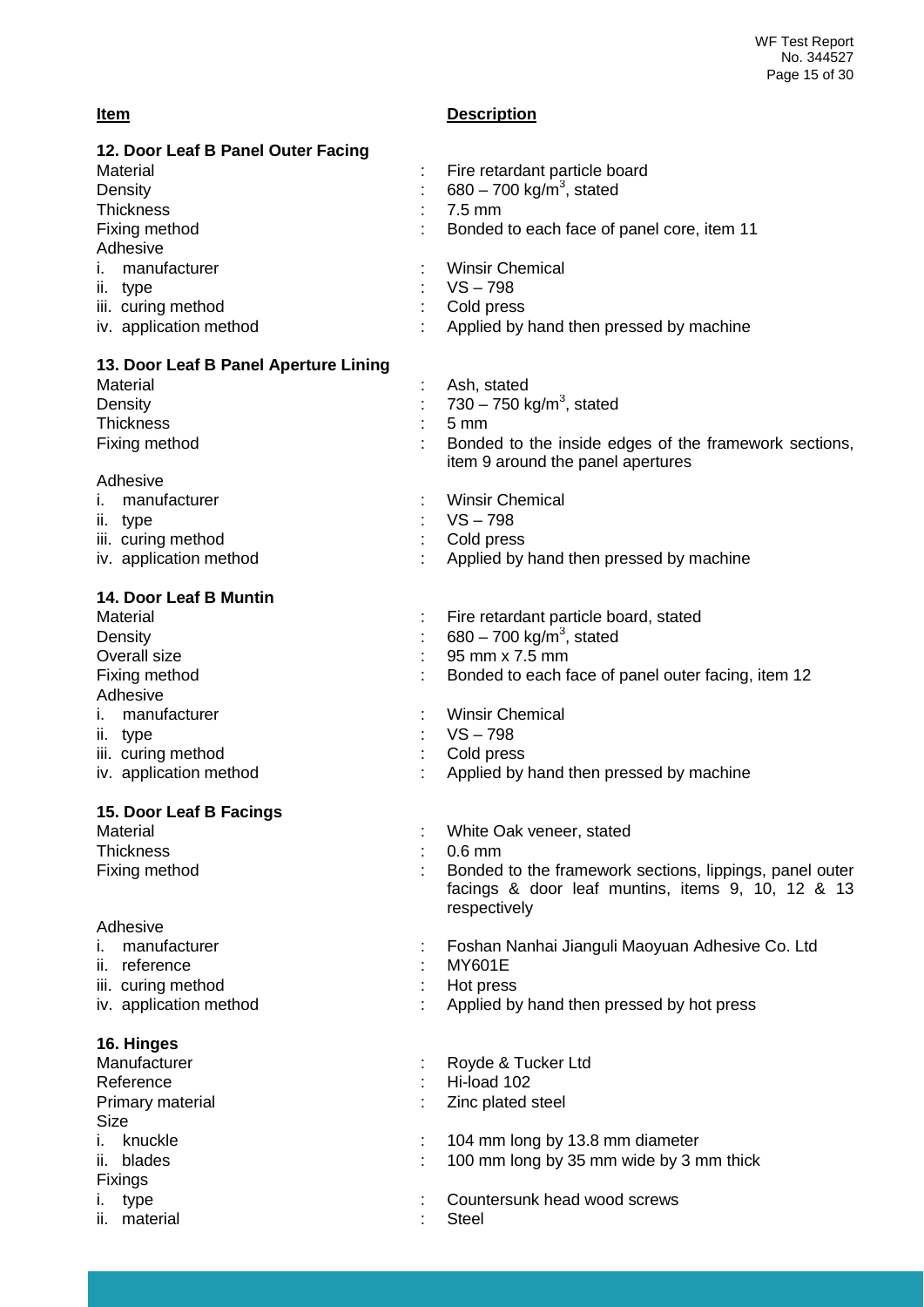#### **Item Description**

| 12. Door Leaf B Panel Outer Facing    |                                                                                            |
|---------------------------------------|--------------------------------------------------------------------------------------------|
| Material                              | Fire retardant particle board                                                              |
| Density                               | 680 – 700 kg/m <sup>3</sup> , stated                                                       |
| Thickness                             | $7.5 \text{ mm}$                                                                           |
| Fixing method                         | Bonded to each face of panel core, item 11                                                 |
| Adhesive                              |                                                                                            |
| manufacturer<br>Ť.                    | <b>Winsir Chemical</b>                                                                     |
| ii. type                              | $VS - 798$                                                                                 |
| iii. curing method                    | Cold press                                                                                 |
| iv. application method                | Applied by hand then pressed by machine                                                    |
| 13. Door Leaf B Panel Aperture Lining |                                                                                            |
| Material                              | Ash, stated                                                                                |
| Density                               | 730 – 750 kg/m <sup>3</sup> , stated                                                       |
| <b>Thickness</b>                      | $5 \text{ mm}$                                                                             |
| Fixing method                         | Bonded to the inside edges of the framework sections,<br>item 9 around the panel apertures |

#### Adhesive

Fixings<br>i. type

| i. manufacturer<br>ii. type                  | <b>Winsir Chemical</b><br>: VS – 798                                 |
|----------------------------------------------|----------------------------------------------------------------------|
| iii. curing method<br>iv. application method | $\therefore$ Cold press<br>: Applied by hand then pressed by machine |

### **14. Door Leaf B Muntin**

| : Fire retardant particle board, stated            |
|----------------------------------------------------|
| 680 – 700 kg/m <sup>3</sup> , stated               |
| 95 mm x 7.5 mm                                     |
| Bonded to each face of panel outer facing, item 12 |
|                                                    |
| <b>Winsir Chemical</b>                             |
| $VS - 798$                                         |
| Cold press                                         |
| : Applied by hand then pressed by machine          |
|                                                    |
|                                                    |

| 15. Door Leaf B Facings |                          |
|-------------------------|--------------------------|
| Material                | White Oak veneer, stated |

| <b>Thickness</b>        | $0.6$ mm                                                                                                                     |
|-------------------------|------------------------------------------------------------------------------------------------------------------------------|
| Fixing method           | Bonded to the framework sections, lippings, panel outer<br>facings & door leaf muntins, items 9, 10, 12 & 13<br>respectively |
| Adhesive                |                                                                                                                              |
| manufacturer<br>Ĺ.      | Foshan Nanhai Jianguli Maoyuan Adhesive Co. Ltd                                                                              |
| ii. reference           | <b>MY601E</b>                                                                                                                |
| iii. curing method      | Hot press                                                                                                                    |
| iv. application method  | Applied by hand then pressed by hot press                                                                                    |
| 16. Hinges              |                                                                                                                              |
| Manufacturer            | Royde & Tucker Ltd                                                                                                           |
| Reference               | Hi-load 102                                                                                                                  |
| Primary material        | Zinc plated steel                                                                                                            |
| Size                    |                                                                                                                              |
| knuckle<br>$\mathbf{L}$ | 104 mm long by 13.8 mm diameter                                                                                              |
| $\mathbf{ii}$ blodes    | $100 \text{ mm}$ lang by $25 \text{ mm}$ wide by $2 \text{ mm}$ thigh                                                        |

- ii. blades  $\qquad \qquad$  : 100 mm long by 35 mm wide by 3 mm thick
	- : Countersunk head wood screws<br>: Steel
- ii. material is a structure of the steel of the steel of the steel of the steel of the steel of the steel of the steel of the steel of the steel of the steel of the steel of the steel of the steel of the steel of the steel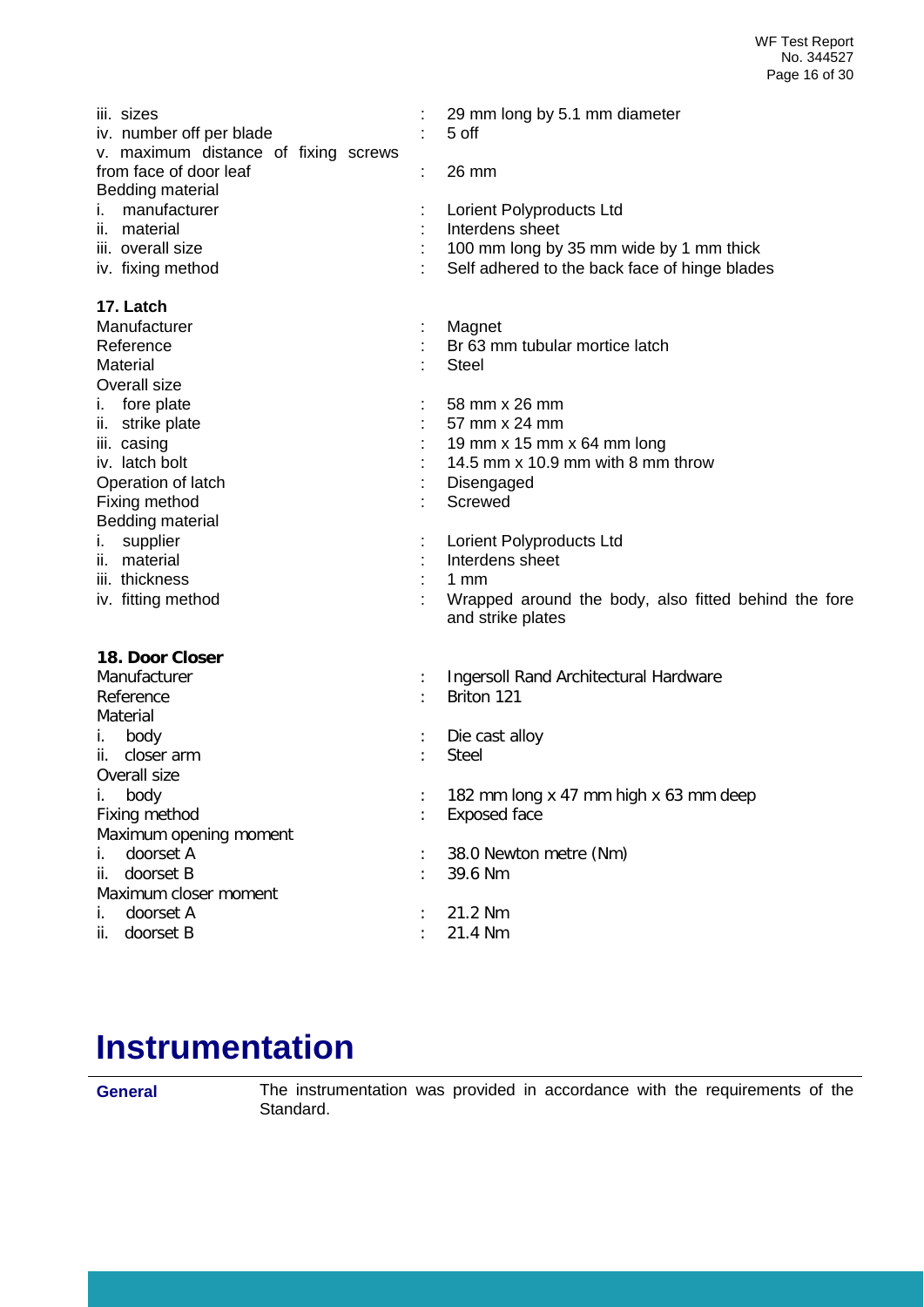| iii. sizes<br>iv. number off per blade<br>v. maximum distance of fixing screws<br>from face of door leaf<br><b>Bedding material</b><br>manufacturer<br>İ.<br>ii. material<br>iii. overall size<br>iv. fixing method | ÷ | 29 mm long by 5.1 mm diameter<br>5 off<br>26 mm<br>Lorient Polyproducts Ltd<br>Interdens sheet<br>100 mm long by 35 mm wide by 1 mm thick<br>Self adhered to the back face of hinge blades |
|---------------------------------------------------------------------------------------------------------------------------------------------------------------------------------------------------------------------|---|--------------------------------------------------------------------------------------------------------------------------------------------------------------------------------------------|
| 17. Latch<br>Manufacturer<br>Reference<br>Material<br>Overall size                                                                                                                                                  |   | Magnet<br>Br 63 mm tubular mortice latch<br><b>Steel</b>                                                                                                                                   |
| fore plate<br>i.<br>ii. strike plate<br>iii. casing<br>iv. latch bolt<br>Operation of latch                                                                                                                         |   | 58 mm x 26 mm<br>57 mm x 24 mm<br>19 mm x 15 mm x 64 mm long<br>14.5 mm x 10.9 mm with 8 mm throw<br>Disengaged                                                                            |
| Fixing method<br><b>Bedding material</b><br>supplier<br>I.<br>ii. material<br>iii. thickness<br>iv. fitting method                                                                                                  |   | Screwed<br>Lorient Polyproducts Ltd<br>Interdens sheet<br>$1 \text{ mm}$<br>Wrapped around the body, also fitted behind the fore                                                           |
| 18. Door Closer<br>Manufacturer<br>Reference                                                                                                                                                                        |   | and strike plates<br>Ingersoll Rand Architectural Hardware<br>Briton 121                                                                                                                   |
| Material<br>body<br>İ.<br>ii. closer arm<br>Overall size                                                                                                                                                            |   | Die cast alloy<br><b>Steel</b>                                                                                                                                                             |
| İ.<br>body<br>Fixing method<br>Maximum opening moment<br>doorset A<br>i.<br>doorset B<br>ii.                                                                                                                        |   | 182 mm long x 47 mm high x 63 mm deep<br><b>Exposed face</b><br>38.0 Newton metre (Nm)<br>39.6 Nm                                                                                          |
| Maximum closer moment<br>doorset A<br>İ.<br>doorset B<br>ii.                                                                                                                                                        |   | 21.2 Nm<br>21.4 Nm                                                                                                                                                                         |

## <span id="page-15-0"></span>**Instrumentation**

**General** The instrumentation was provided in accordance with the requirements of the Standard.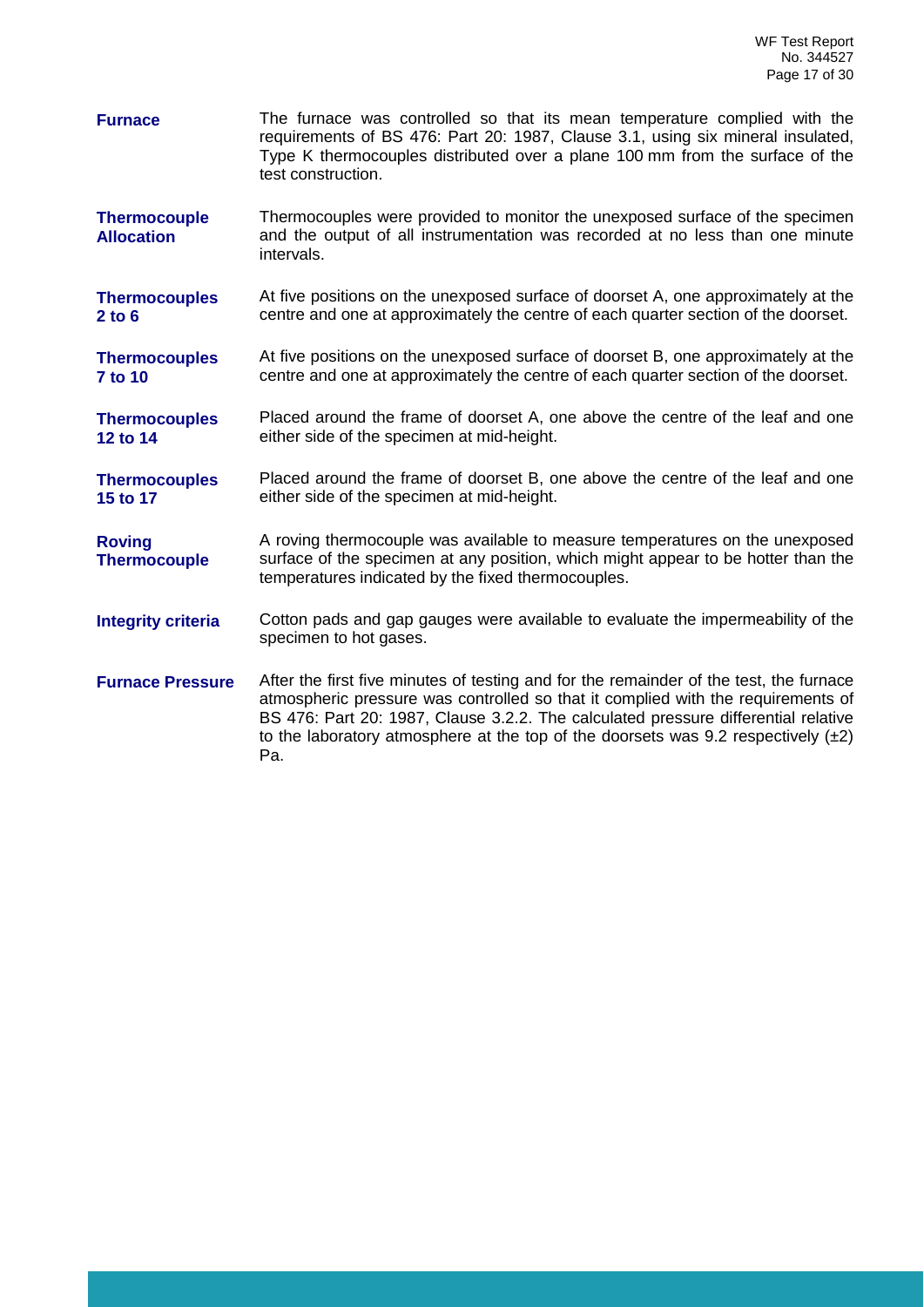- **Furnace** The furnace was controlled so that its mean temperature complied with the requirements of BS 476: Part 20: 1987, Clause 3.1, using six mineral insulated, Type K thermocouples distributed over a plane 100 mm from the surface of the test construction.
- **Thermocouple Allocation** Thermocouples were provided to monitor the unexposed surface of the specimen and the output of all instrumentation was recorded at no less than one minute intervals.
- **Thermocouples 2 to 6** At five positions on the unexposed surface of doorset A, one approximately at the centre and one at approximately the centre of each quarter section of the doorset.

**Thermocouples 7 to 10** At five positions on the unexposed surface of doorset B, one approximately at the centre and one at approximately the centre of each quarter section of the doorset.

**Thermocouples 12 to 14** Placed around the frame of doorset A, one above the centre of the leaf and one either side of the specimen at mid-height.

**Thermocouples 15 to 17** Placed around the frame of doorset B, one above the centre of the leaf and one either side of the specimen at mid-height.

**Roving Thermocouple** A roving thermocouple was available to measure temperatures on the unexposed surface of the specimen at any position, which might appear to be hotter than the temperatures indicated by the fixed thermocouples.

**Integrity criteria** Cotton pads and gap gauges were available to evaluate the impermeability of the specimen to hot gases.

**Furnace Pressure** After the first five minutes of testing and for the remainder of the test, the furnace atmospheric pressure was controlled so that it complied with the requirements of BS 476: Part 20: 1987, Clause 3.2.2. The calculated pressure differential relative to the laboratory atmosphere at the top of the doorsets was 9.2 respectively  $(±2)$ Pa.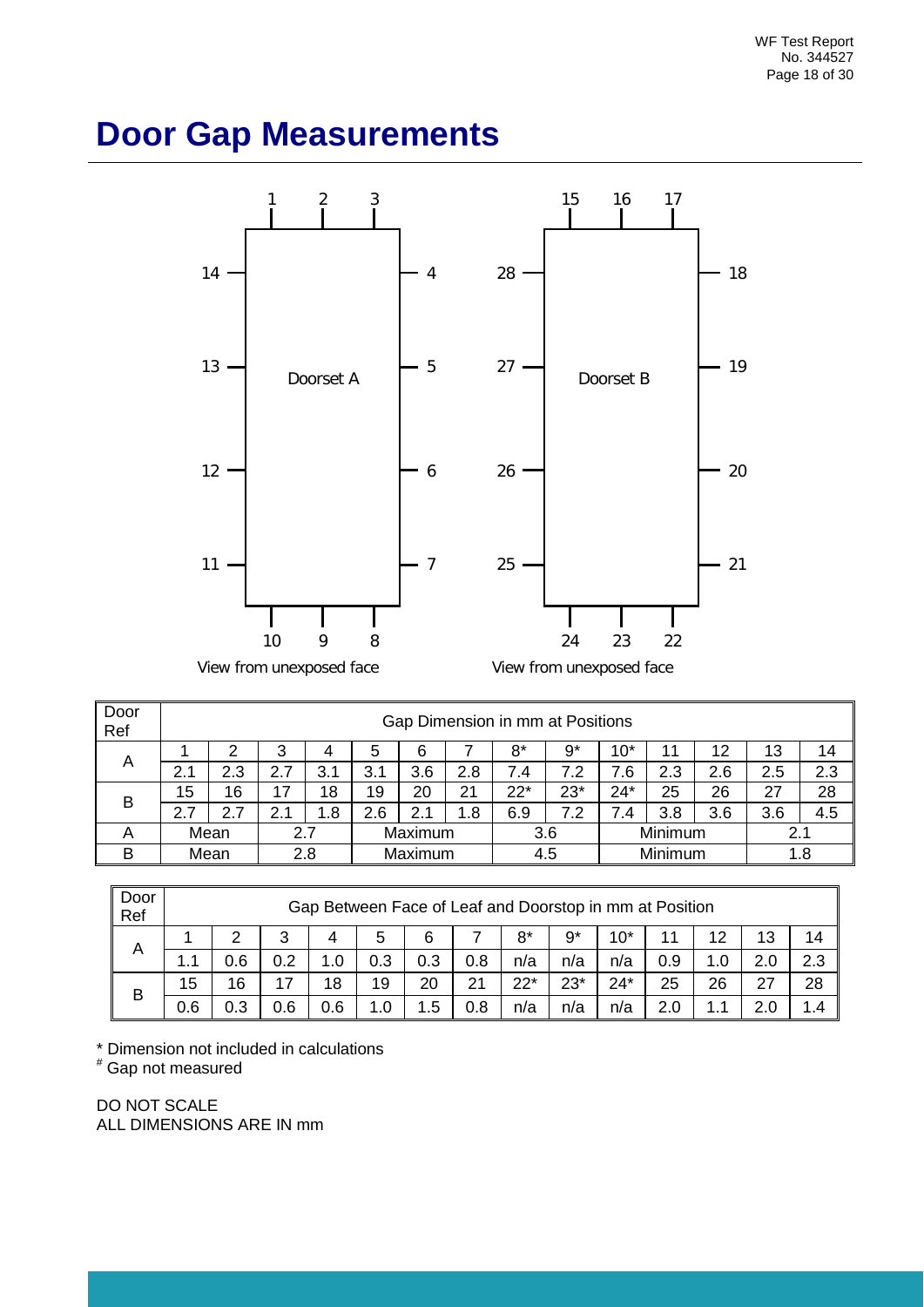### <span id="page-17-0"></span>**Door Gap Measurements**



| Door<br>Ref | Gap Dimension in mm at Positions |      |     |     |         |         |     |       |         |          |     |     |     |     |
|-------------|----------------------------------|------|-----|-----|---------|---------|-----|-------|---------|----------|-----|-----|-----|-----|
|             |                                  |      | 3   |     | 5       | 6       |     | 8*    | 9*      | 10*      | 11  | 12  | 13  | 14  |
| A           | 2.1                              | 2.3  | 2.7 | 3.1 | 3.1     | 3.6     | 2.8 | 7.4   | 7.2     | 7.6<br>7 | 2.3 | 2.6 | 2.5 | 2.3 |
| B           | 15                               | 16   | 17  | 18  | 19      | 20      | 21  | $22*$ | $23*$   | $24*$    | 25  | 26  | 27  | 28  |
|             | 2.7                              | 2.7  | 2.  | .8  | 2.6     | 2.1     | .8  | 6.9   | 7.2     | 7.4      | 3.8 | 3.6 | 3.6 | 4.5 |
|             |                                  | Mean | 2.7 |     | Maximum |         | 3.6 |       | Minimum |          | 2.1 |     |     |     |
| B           |                                  | Mean | 2.8 |     |         | Maximum |     | 4.5   |         | Minimum  |     |     | 1.8 |     |

| Door<br>Ref |     | Gap Between Face of Leaf and Doorstop in mm at Position |     |     |     |            |     |       |       |       |     |     |     |     |
|-------------|-----|---------------------------------------------------------|-----|-----|-----|------------|-----|-------|-------|-------|-----|-----|-----|-----|
|             |     | ົ                                                       | 3   | 4   | 5   | 6          |     | 8*    | g*    | $10*$ |     | 12  | 13  | 14  |
| A           | 1.1 | 0.6                                                     | 0.2 |     | 0.3 | 0.3        | 0.8 | n/a   | n/a   | n/a   | 0.9 | 1.0 | 2.0 | 2.3 |
| B           | 15  | 16                                                      | 17  | 18  | 19  | 20         | 21  | $22*$ | $23*$ | $24*$ | 25  | 26  | 27  | 28  |
|             | 0.6 | 0.3                                                     | 0.6 | 0.6 | 1.0 | . .5<br>-1 | 0.8 | n/a   | n/a   | n/a   | 2.0 |     | າ ດ | 1.4 |

 $*$  Dimension not included in calculations

# Gap not measured

DO NOT SCALE ALL DIMENSIONS ARE IN mm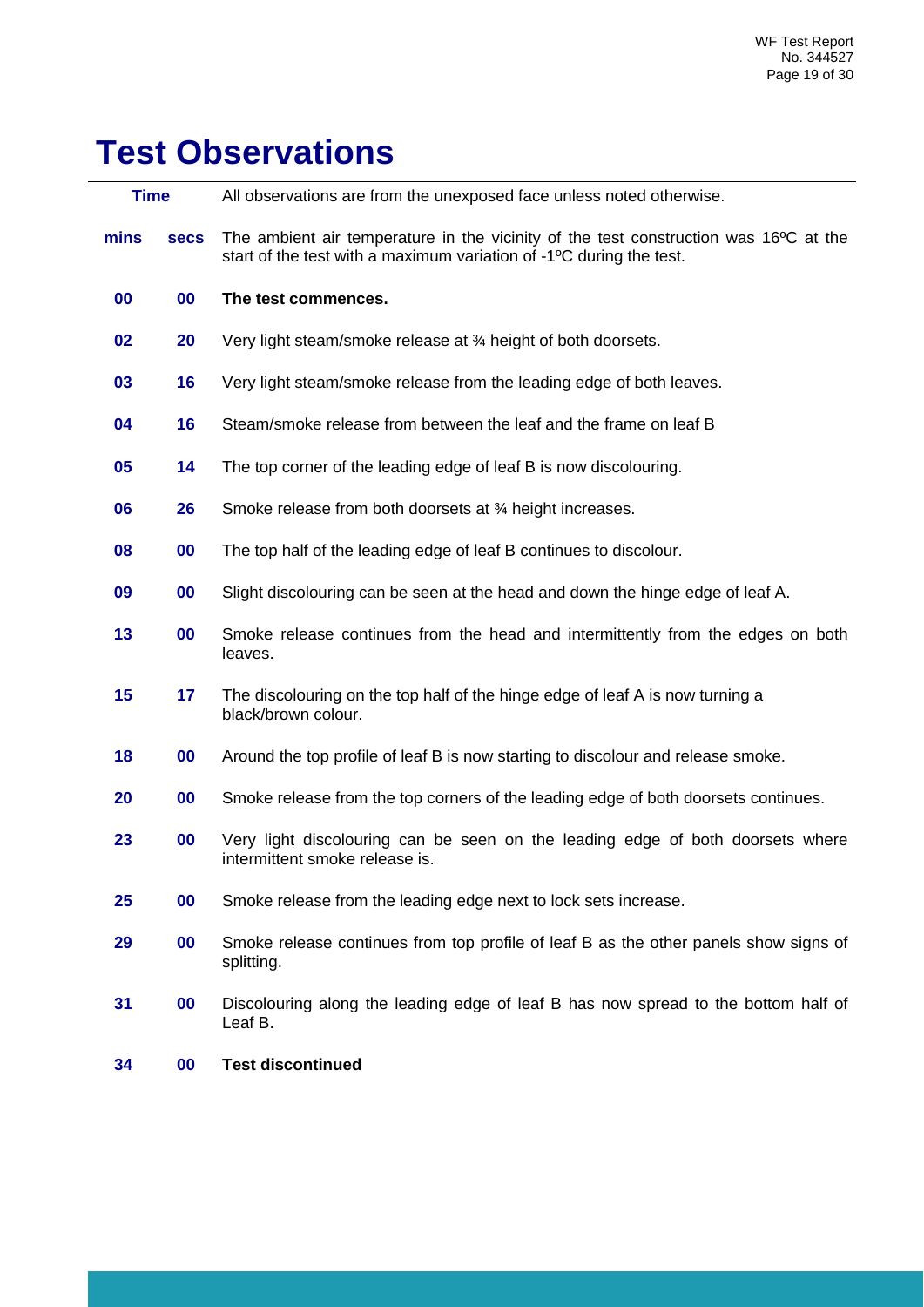# **Test Observations**

| <b>Time</b> |             | All observations are from the unexposed face unless noted otherwise.                                                                                                     |
|-------------|-------------|--------------------------------------------------------------------------------------------------------------------------------------------------------------------------|
| mins        | <b>Secs</b> | The ambient air temperature in the vicinity of the test construction was 16°C at the<br>start of the test with a maximum variation of -1 <sup>o</sup> C during the test. |
| 00          | 00          | The test commences.                                                                                                                                                      |
| 02          | 20          | Very light steam/smoke release at 34 height of both doorsets.                                                                                                            |
| 03          | 16          | Very light steam/smoke release from the leading edge of both leaves.                                                                                                     |
| 04          | 16          | Steam/smoke release from between the leaf and the frame on leaf B                                                                                                        |
| 05          | 14          | The top corner of the leading edge of leaf B is now discolouring.                                                                                                        |
| 06          | 26          | Smoke release from both doorsets at 3⁄4 height increases.                                                                                                                |
| 08          | 00          | The top half of the leading edge of leaf B continues to discolour.                                                                                                       |
| 09          | 00          | Slight discolouring can be seen at the head and down the hinge edge of leaf A.                                                                                           |
| 13          | 00          | Smoke release continues from the head and intermittently from the edges on both<br>leaves.                                                                               |
| 15          | 17          | The discolouring on the top half of the hinge edge of leaf A is now turning a<br>black/brown colour.                                                                     |
| 18          | 00          | Around the top profile of leaf B is now starting to discolour and release smoke.                                                                                         |
| 20          | 00          | Smoke release from the top corners of the leading edge of both doorsets continues.                                                                                       |
| 23          | 00          | Very light discolouring can be seen on the leading edge of both doorsets where<br>intermittent smoke release is.                                                         |
| 25          | 00          | Smoke release from the leading edge next to lock sets increase.                                                                                                          |
| 29          | 00          | Smoke release continues from top profile of leaf B as the other panels show signs of<br>splitting.                                                                       |
| 31          | 00          | Discolouring along the leading edge of leaf B has now spread to the bottom half of<br>Leaf B.                                                                            |
| 34          | 00          | <b>Test discontinued</b>                                                                                                                                                 |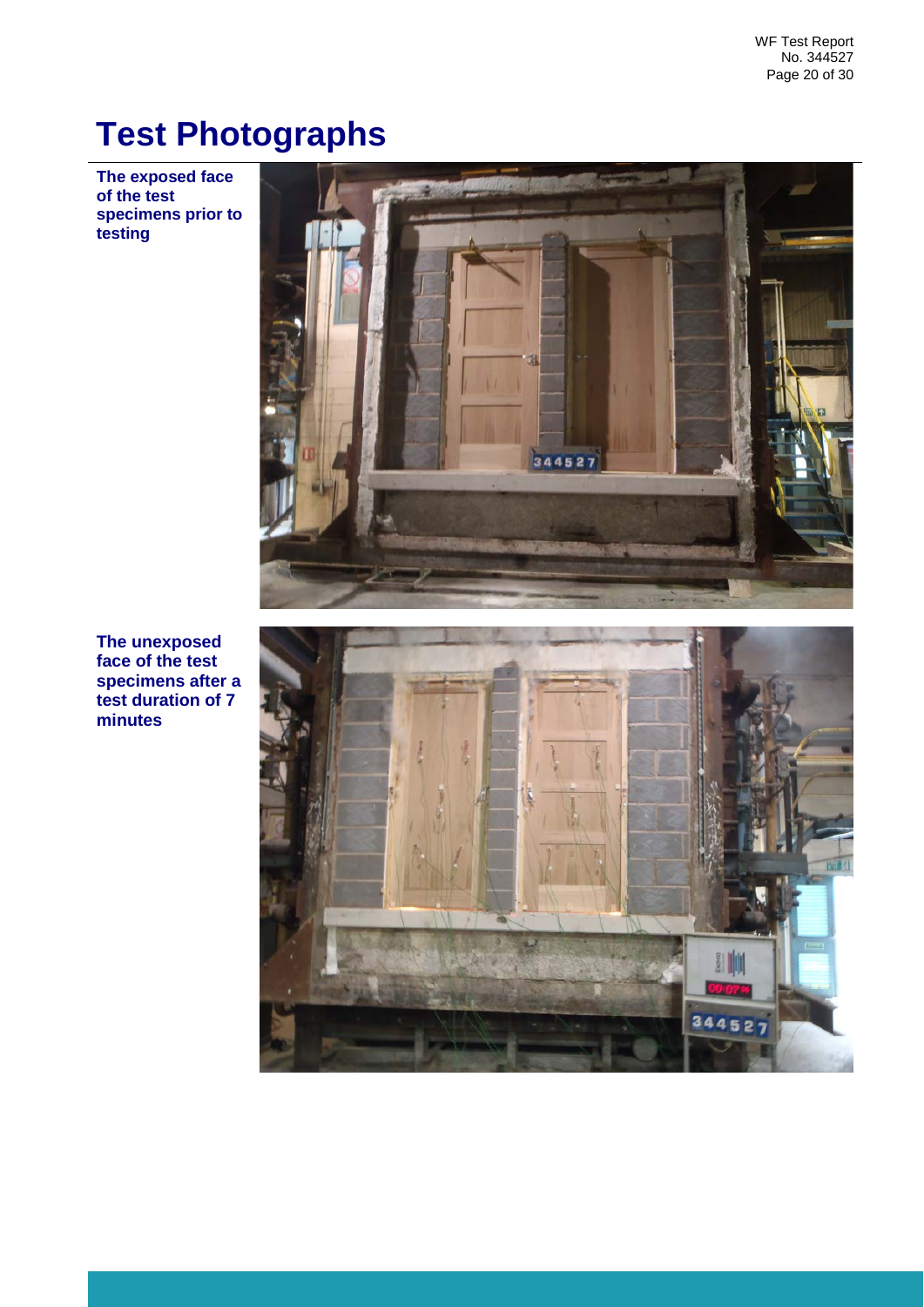## <span id="page-19-0"></span>**Test Photographs**

**The exposed face of the test specimens prior to testing**



**The unexposed face of the test specimens after a test duration of 7 minutes**

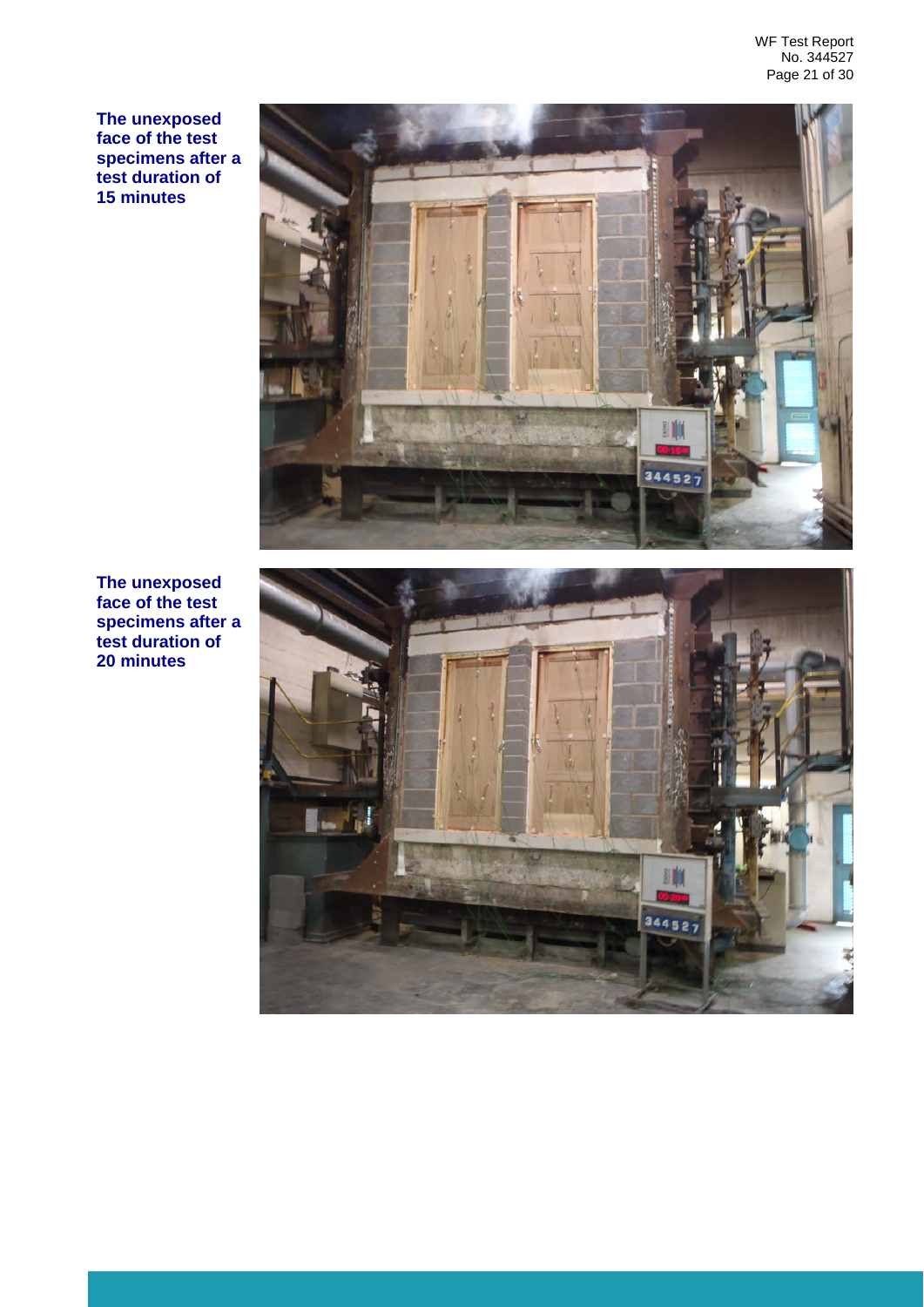**The unexposed face of the test specimens after a test duration of 15 minutes**



**The unexposed face of the test specimens after a test duration of 20 minutes**

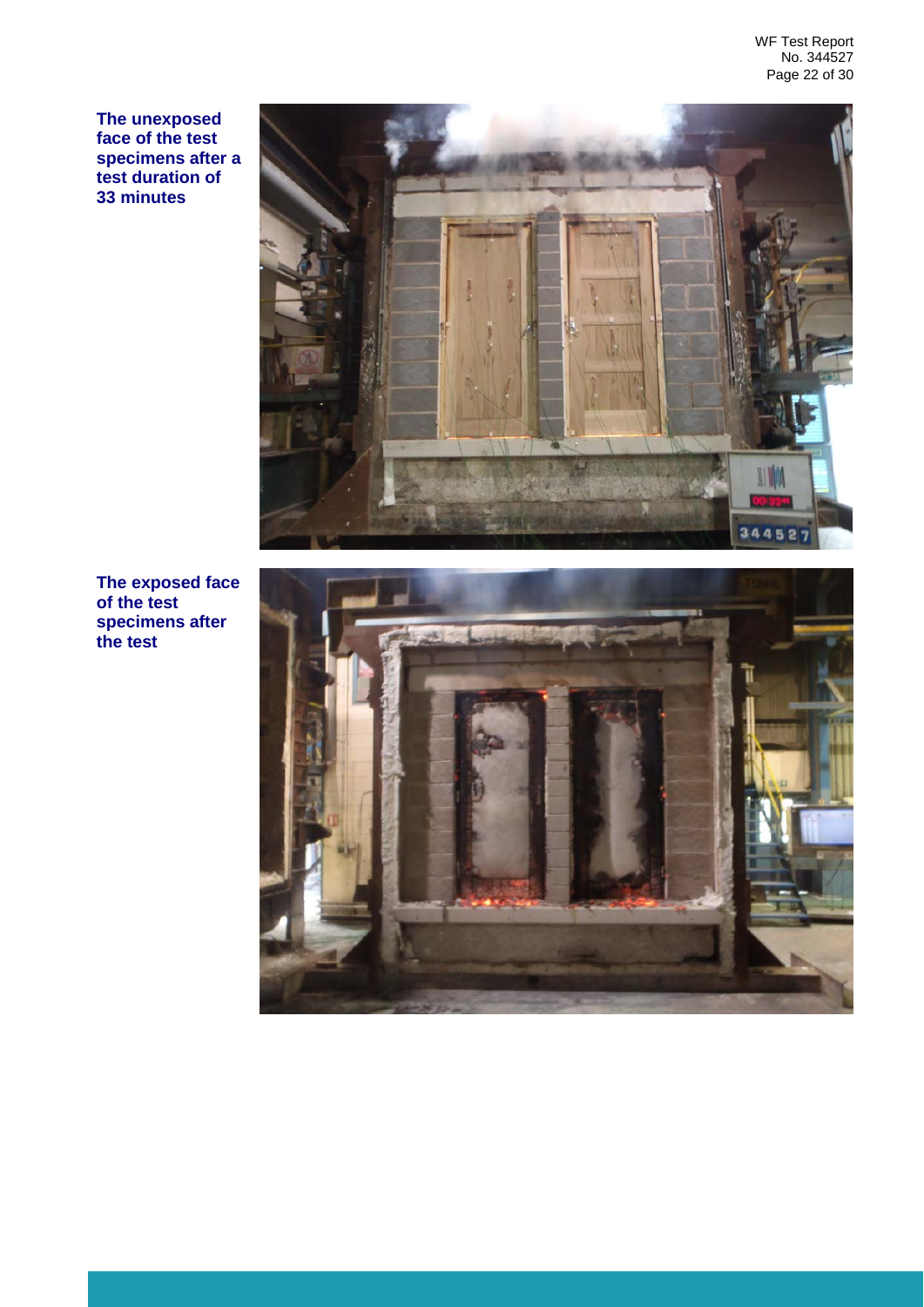WF Test Report No. 344527 Page 22 of 30

**The unexposed face of the test specimens after a test duration of 33 minutes**



**The exposed face of the test specimens after the test** 

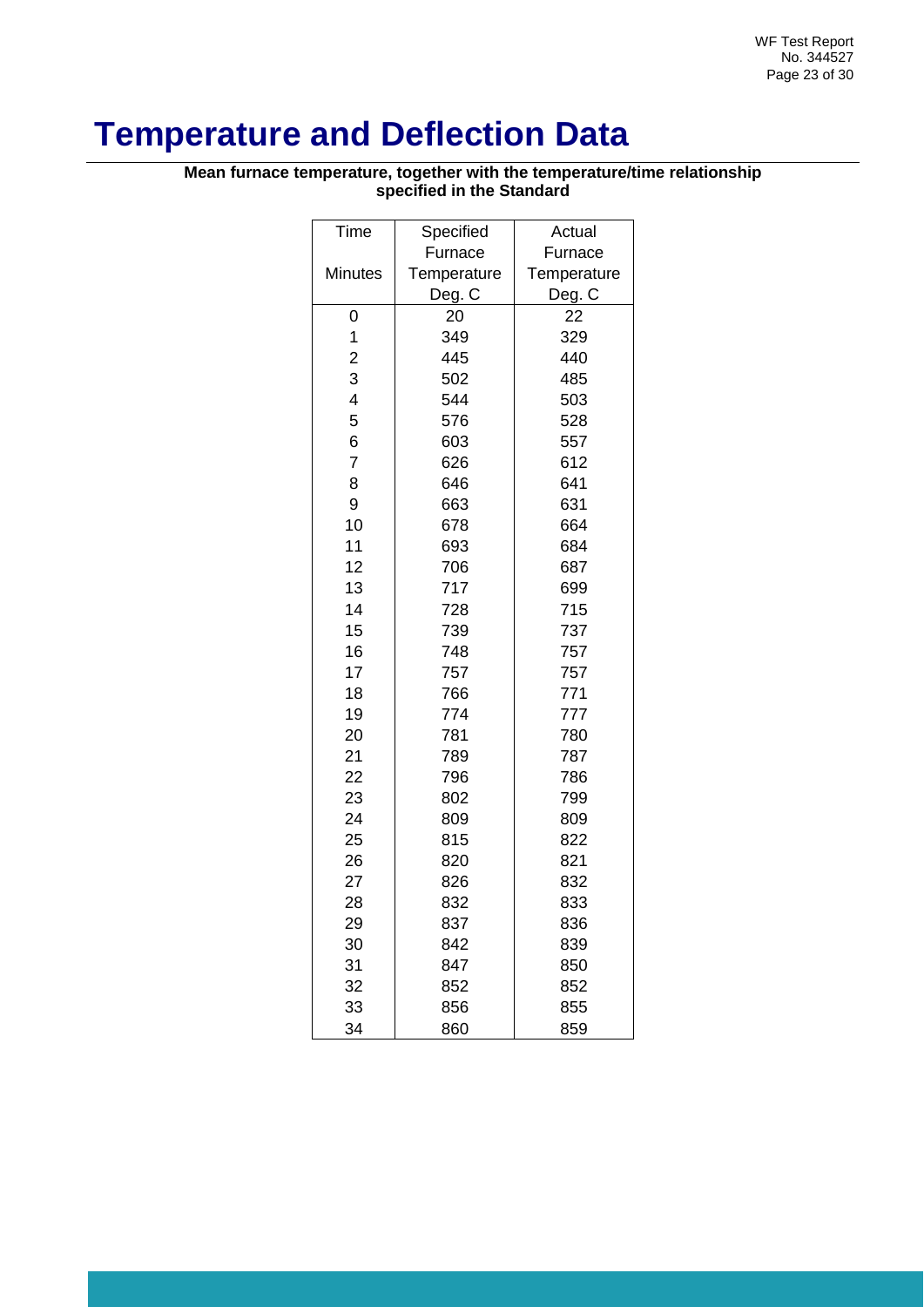## <span id="page-22-0"></span>**Temperature and Deflection Data**

**Mean furnace temperature, together with the temperature/time relationship specified in the Standard**

| Time                    | Specified   | Actual      |
|-------------------------|-------------|-------------|
|                         | Furnace     | Furnace     |
| Minutes                 | Temperature | Temperature |
|                         | Deg. C      | Deg. C      |
| 0                       | 20          | 22          |
| 1                       | 349         | 329         |
| $\overline{\mathbf{c}}$ | 445         | 440         |
| 3                       | 502         | 485         |
| $\overline{\mathbf{4}}$ | 544         | 503         |
| 5                       | 576         | 528         |
| 6                       | 603         | 557         |
| $\overline{7}$          | 626         | 612         |
| 8                       | 646         | 641         |
| 9                       | 663         | 631         |
| 10                      | 678         | 664         |
| 11                      | 693         | 684         |
| 12                      | 706         | 687         |
| 13                      | 717         | 699         |
| 14                      | 728         | 715         |
| 15                      | 739         | 737         |
| 16                      | 748         | 757         |
| 17                      | 757         | 757         |
| 18                      | 766         | 771         |
| 19                      | 774         | 777         |
| 20                      | 781         | 780         |
| 21                      | 789         | 787         |
| 22                      | 796         | 786         |
| 23                      | 802         | 799         |
| 24                      | 809         | 809         |
| 25                      | 815         | 822         |
| 26                      | 820         | 821         |
| 27                      | 826         | 832         |
| 28                      | 832         | 833         |
| 29                      | 837         | 836         |
| 30                      | 842         | 839         |
| 31                      | 847         | 850         |
| 32                      | 852         | 852         |
| 33                      | 856         | 855         |
| 34                      | 860         | 859         |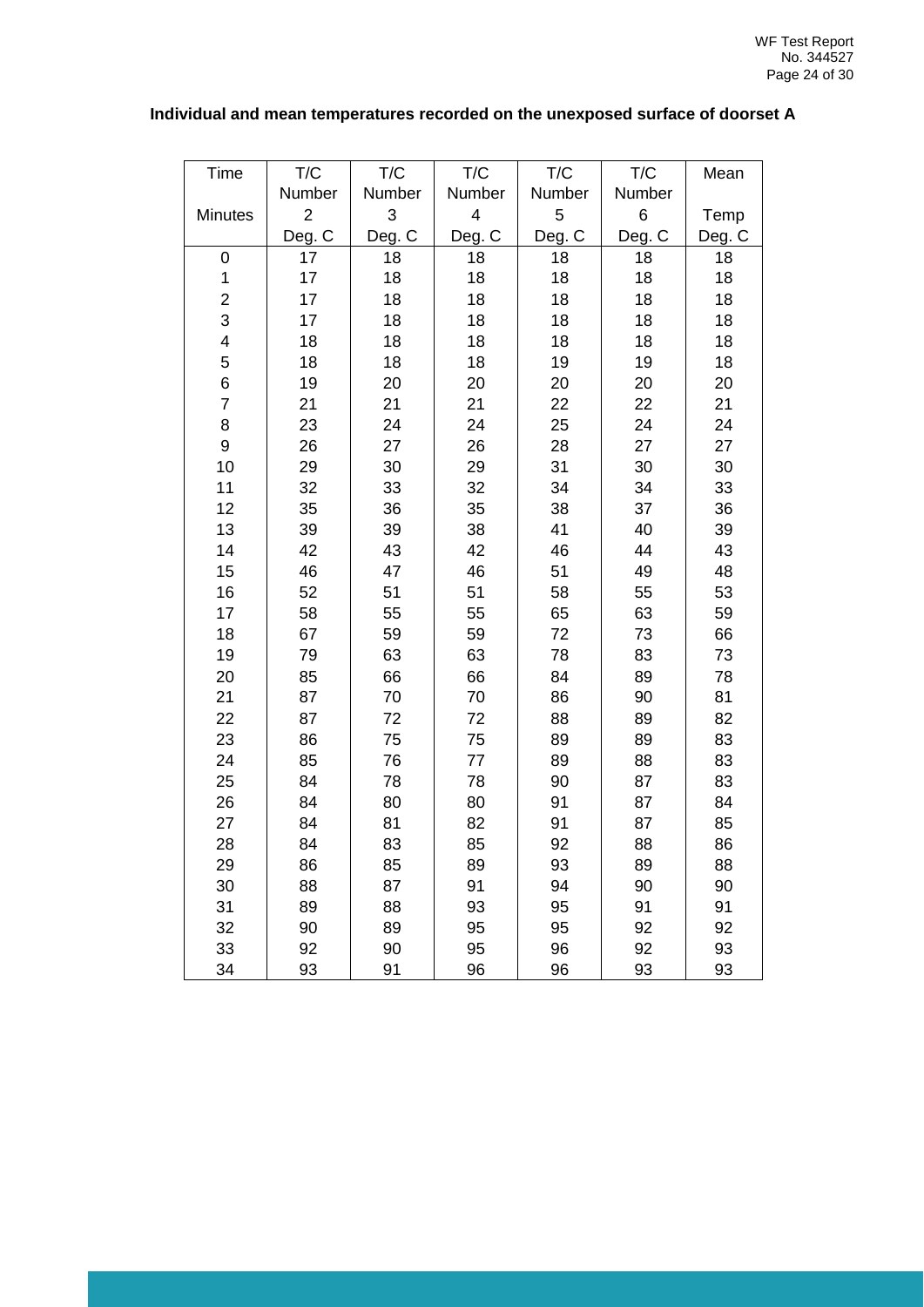#### **Individual and mean temperatures recorded on the unexposed surface of doorset A**

| <b>Time</b>             | T/C            | T/C                       | T/C                     | T/C    | T/C    | Mean   |
|-------------------------|----------------|---------------------------|-------------------------|--------|--------|--------|
|                         | Number         | Number                    | Number                  | Number | Number |        |
| Minutes                 | $\overline{2}$ | $\ensuremath{\mathsf{3}}$ | $\overline{\mathbf{4}}$ | 5      | 6      | Temp   |
|                         | Deg. C         | Deg. C                    | Deg. C                  | Deg. C | Deg. C | Deg. C |
| 0                       | 17             | 18                        | 18                      | 18     | 18     | 18     |
| $\mathbf 1$             | 17             | 18                        | 18                      | 18     | 18     | 18     |
| $\overline{\mathbf{c}}$ | 17             | 18                        | 18                      | 18     | 18     | 18     |
| 3                       | 17             | 18                        | 18                      | 18     | 18     | 18     |
| $\overline{\mathbf{4}}$ | 18             | 18                        | 18                      | 18     | 18     | 18     |
| 5                       | 18             | 18                        | 18                      | 19     | 19     | 18     |
| 6                       | 19             | 20                        | 20                      | 20     | 20     | 20     |
| $\overline{7}$          | 21             | 21                        | 21                      | 22     | 22     | 21     |
| 8                       | 23             | 24                        | 24                      | 25     | 24     | 24     |
| 9                       | 26             | 27                        | 26                      | 28     | 27     | 27     |
| 10                      | 29             | 30                        | 29                      | 31     | 30     | 30     |
| 11                      | 32             | 33                        | 32                      | 34     | 34     | 33     |
| 12                      | 35             | 36                        | 35                      | 38     | 37     | 36     |
| 13                      | 39             | 39                        | 38                      | 41     | 40     | 39     |
| 14                      | 42             | 43                        | 42                      | 46     | 44     | 43     |
| 15                      | 46             | 47                        | 46                      | 51     | 49     | 48     |
| 16                      | 52             | 51                        | 51                      | 58     | 55     | 53     |
| 17                      | 58             | 55                        | 55                      | 65     | 63     | 59     |
| 18                      | 67             | 59                        | 59                      | 72     | 73     | 66     |
| 19                      | 79             | 63                        | 63                      | 78     | 83     | 73     |
| 20                      | 85             | 66                        | 66                      | 84     | 89     | 78     |
| 21                      | 87             | 70                        | 70                      | 86     | 90     | 81     |
| 22                      | 87             | 72                        | 72                      | 88     | 89     | 82     |
| 23                      | 86             | 75                        | 75                      | 89     | 89     | 83     |
| 24                      | 85             | 76                        | 77                      | 89     | 88     | 83     |
| 25                      | 84             | 78                        | 78                      | 90     | 87     | 83     |
| 26                      | 84             | 80                        | 80                      | 91     | 87     | 84     |
| 27                      | 84             | 81                        | 82                      | 91     | 87     | 85     |
| 28                      | 84             | 83                        | 85                      | 92     | 88     | 86     |
| 29                      | 86             | 85                        | 89                      | 93     | 89     | 88     |
| 30                      | 88             | 87                        | 91                      | 94     | 90     | 90     |
| 31                      | 89             | 88                        | 93                      | 95     | 91     | 91     |
| 32                      | 90             | 89                        | 95                      | 95     | 92     | 92     |
| 33                      | 92             | 90                        | 95                      | 96     | 92     | 93     |
| 34                      | 93             | 91                        | 96                      | 96     | 93     | 93     |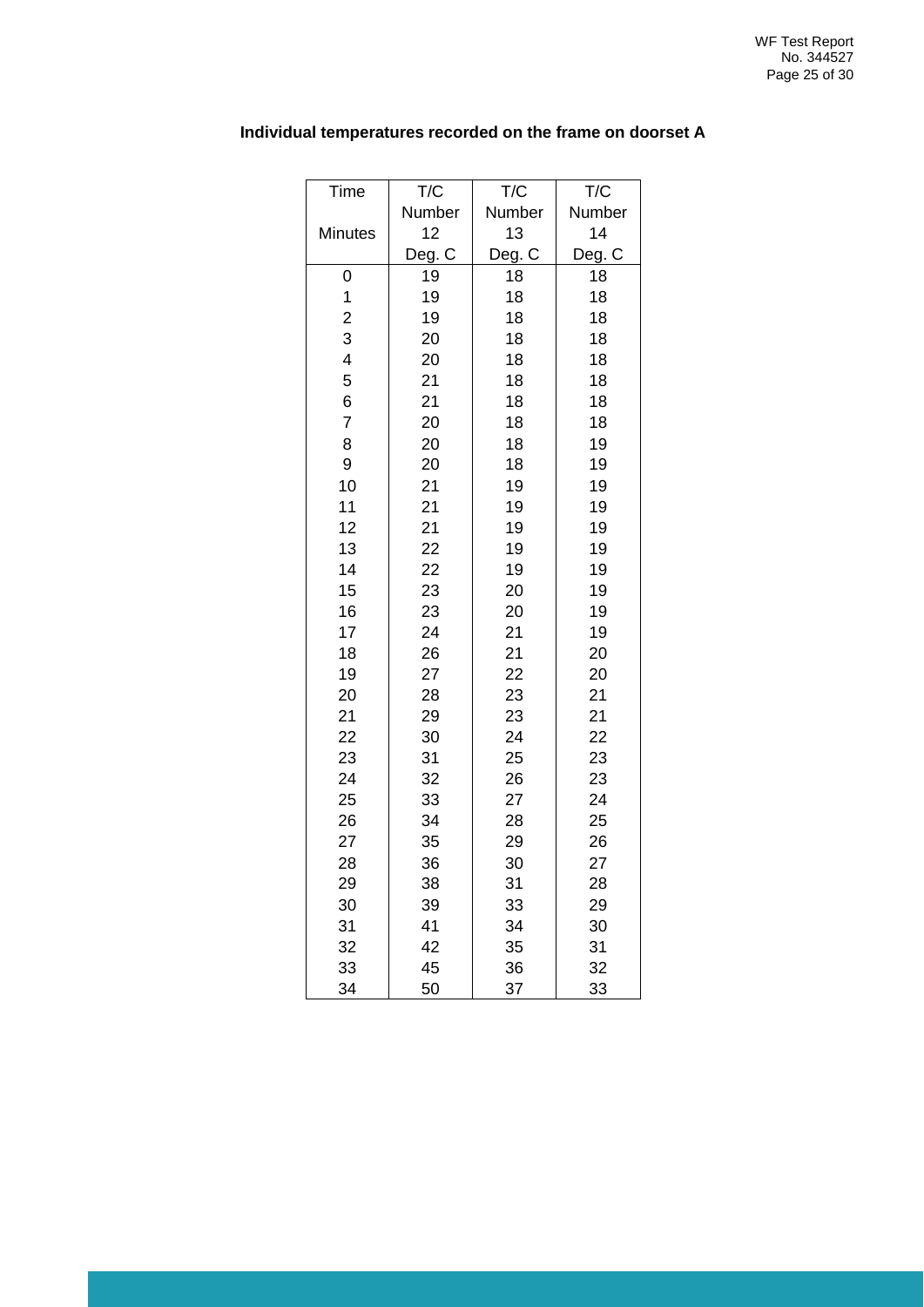| Time                    | T/C    | T/C    | T/C    |
|-------------------------|--------|--------|--------|
|                         | Number | Number | Number |
| <b>Minutes</b>          | 12     | 13     | 14     |
|                         | Deg. C | Deg. C | Deg. C |
| 0                       | 19     | 18     | 18     |
| 1                       | 19     | 18     | 18     |
| $\overline{c}$          | 19     | 18     | 18     |
| 3                       | 20     | 18     | 18     |
| $\overline{\mathbf{4}}$ | 20     | 18     | 18     |
| 5                       | 21     | 18     | 18     |
| 6                       | 21     | 18     | 18     |
| $\overline{7}$          | 20     | 18     | 18     |
| 8                       | 20     | 18     | 19     |
| 9                       | 20     | 18     | 19     |
| 10                      | 21     | 19     | 19     |
| 11                      | 21     | 19     | 19     |
| 12                      | 21     | 19     | 19     |
| 13                      | 22     | 19     | 19     |
| 14                      | 22     | 19     | 19     |
| 15                      | 23     | 20     | 19     |
| 16                      | 23     | 20     | 19     |
| 17                      | 24     | 21     | 19     |
| 18                      | 26     | 21     | 20     |
| 19                      | 27     | 22     | 20     |
| 20                      | 28     | 23     | 21     |
| 21                      | 29     | 23     | 21     |
| 22                      | 30     | 24     | 22     |
| 23                      | 31     | 25     | 23     |
| 24                      | 32     | 26     | 23     |
| 25                      | 33     | 27     | 24     |
| 26                      | 34     | 28     | 25     |
| 27                      | 35     | 29     | 26     |
| 28                      | 36     | 30     | 27     |
| 29                      | 38     | 31     | 28     |
| 30                      | 39     | 33     | 29     |
| 31                      | 41     | 34     | 30     |
| 32                      | 42     | 35     | 31     |
| 33                      | 45     | 36     | 32     |
| 34                      | 50     | 37     | 33     |

#### **Individual temperatures recorded on the frame on doorset A**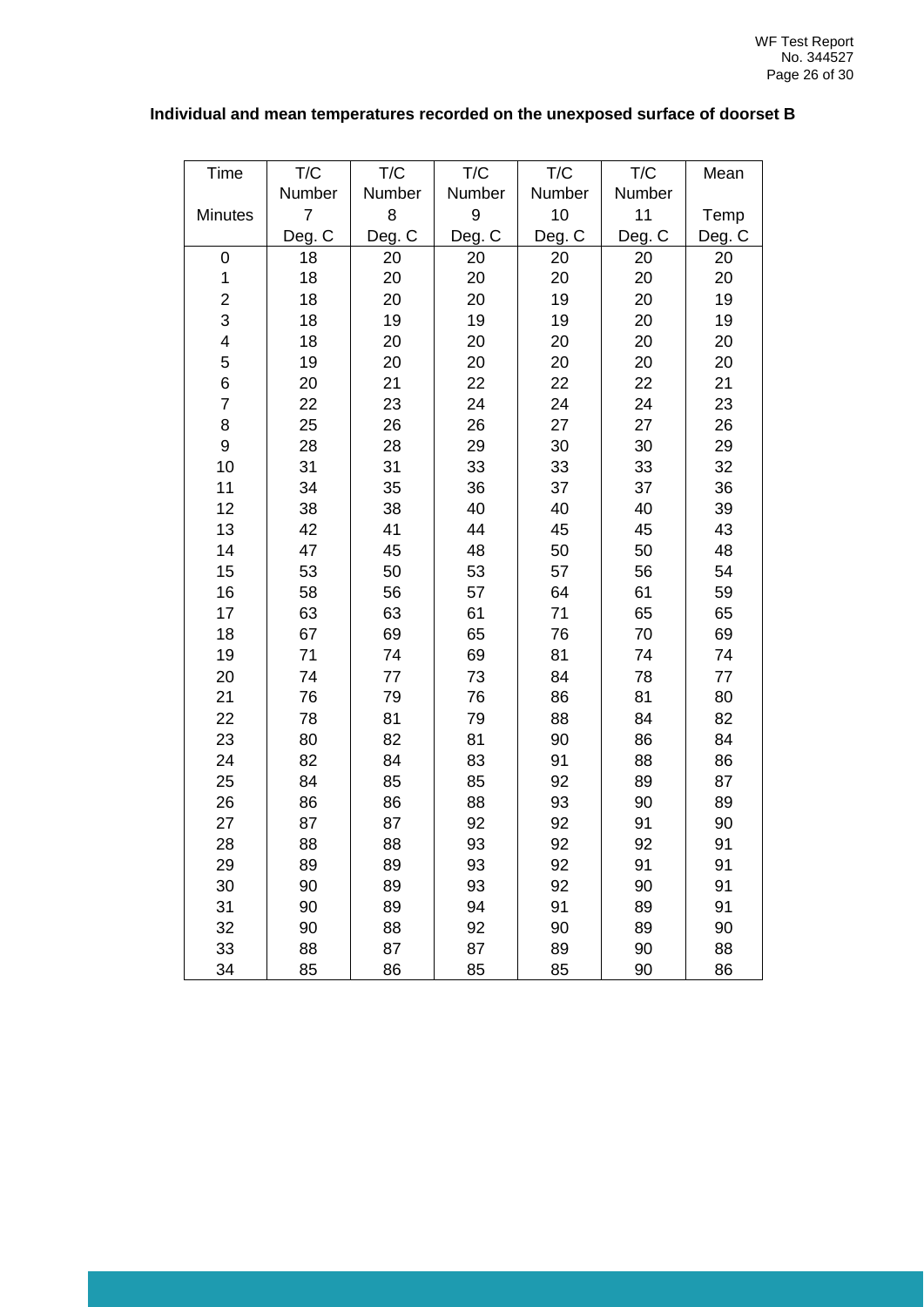#### **Individual and mean temperatures recorded on the unexposed surface of doorset B**

| <b>Time</b>             | T/C            | T/C    | T/C    | T/C    | T/C    | Mean   |
|-------------------------|----------------|--------|--------|--------|--------|--------|
|                         | Number         | Number | Number | Number | Number |        |
| Minutes                 | $\overline{7}$ | 8      | 9      | 10     | 11     | Temp   |
|                         | Deg. C         | Deg. C | Deg. C | Deg. C | Deg. C | Deg. C |
| 0                       | 18             | 20     | 20     | 20     | 20     | 20     |
| $\mathbf 1$             | 18             | 20     | 20     | 20     | 20     | 20     |
| $\overline{\mathbf{c}}$ | 18             | 20     | 20     | 19     | 20     | 19     |
| 3                       | 18             | 19     | 19     | 19     | 20     | 19     |
| 4                       | 18             | 20     | 20     | 20     | 20     | 20     |
| 5                       | 19             | 20     | 20     | 20     | 20     | 20     |
| 6                       | 20             | 21     | 22     | 22     | 22     | 21     |
| $\overline{7}$          | 22             | 23     | 24     | 24     | 24     | 23     |
| 8                       | 25             | 26     | 26     | 27     | 27     | 26     |
| 9                       | 28             | 28     | 29     | 30     | 30     | 29     |
| 10                      | 31             | 31     | 33     | 33     | 33     | 32     |
| 11                      | 34             | 35     | 36     | 37     | 37     | 36     |
| 12                      | 38             | 38     | 40     | 40     | 40     | 39     |
| 13                      | 42             | 41     | 44     | 45     | 45     | 43     |
| 14                      | 47             | 45     | 48     | 50     | 50     | 48     |
| 15                      | 53             | 50     | 53     | 57     | 56     | 54     |
| 16                      | 58             | 56     | 57     | 64     | 61     | 59     |
| 17                      | 63             | 63     | 61     | 71     | 65     | 65     |
| 18                      | 67             | 69     | 65     | 76     | 70     | 69     |
| 19                      | 71             | 74     | 69     | 81     | 74     | 74     |
| 20                      | 74             | 77     | 73     | 84     | 78     | 77     |
| 21                      | 76             | 79     | 76     | 86     | 81     | 80     |
| 22                      | 78             | 81     | 79     | 88     | 84     | 82     |
| 23                      | 80             | 82     | 81     | 90     | 86     | 84     |
| 24                      | 82             | 84     | 83     | 91     | 88     | 86     |
| 25                      | 84             | 85     | 85     | 92     | 89     | 87     |
| 26                      | 86             | 86     | 88     | 93     | 90     | 89     |
| 27                      | 87             | 87     | 92     | 92     | 91     | 90     |
| 28                      | 88             | 88     | 93     | 92     | 92     | 91     |
| 29                      | 89             | 89     | 93     | 92     | 91     | 91     |
| 30                      | 90             | 89     | 93     | 92     | 90     | 91     |
| 31                      | 90             | 89     | 94     | 91     | 89     | 91     |
| 32                      | 90             | 88     | 92     | 90     | 89     | 90     |
| 33                      | 88             | 87     | 87     | 89     | 90     | 88     |
| 34                      | 85             | 86     | 85     | 85     | 90     | 86     |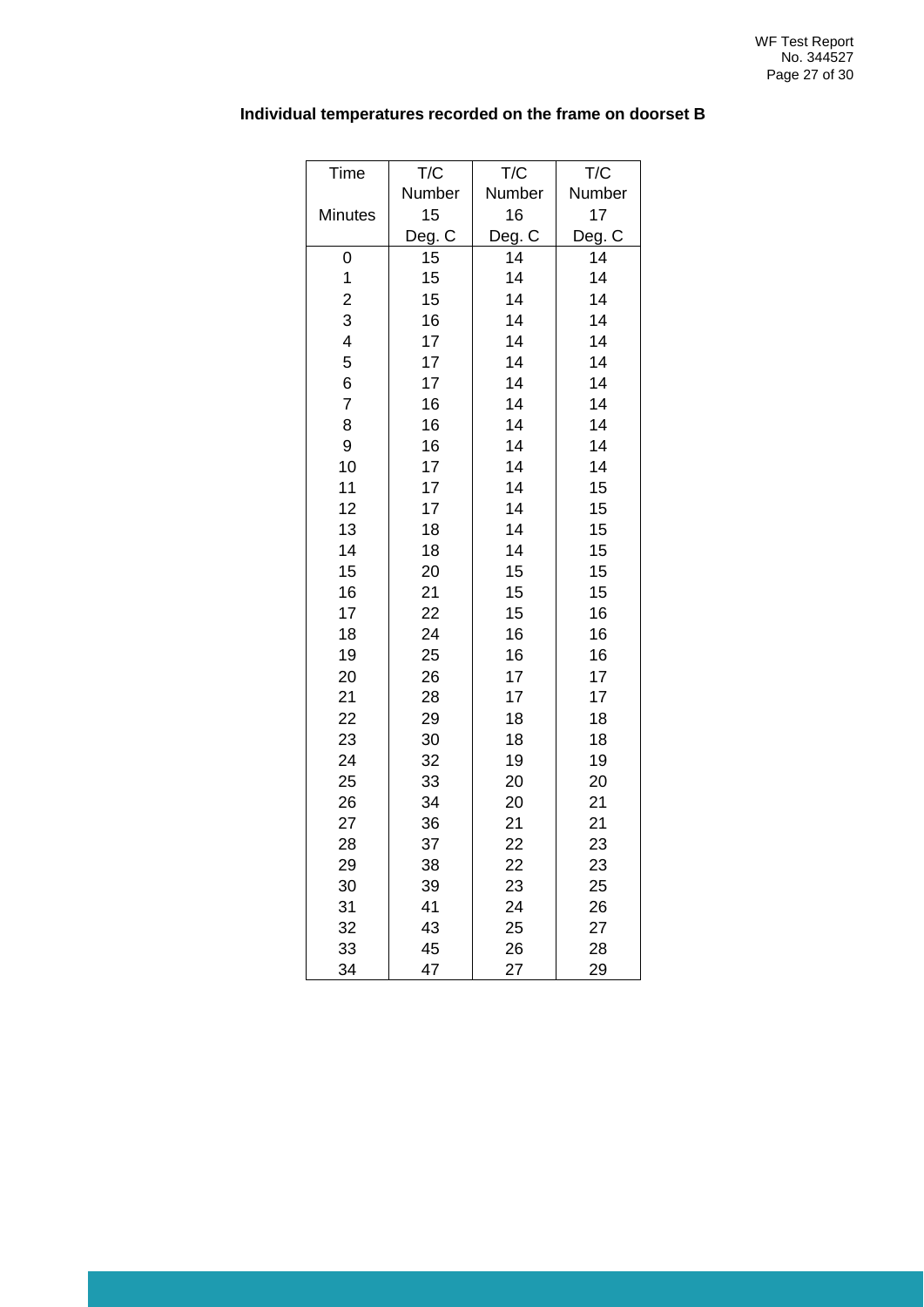| Time                    | T/C    | T/C    | T/C    |
|-------------------------|--------|--------|--------|
|                         | Number | Number | Number |
| <b>Minutes</b>          | 15     | 16     | 17     |
|                         | Deg. C | Deg. C | Deg. C |
| 0                       | 15     | 14     | 14     |
| $\mathbf 1$             | 15     | 14     | 14     |
| $\overline{\mathbf{c}}$ | 15     | 14     | 14     |
| 3                       | 16     | 14     | 14     |
| 4                       | 17     | 14     | 14     |
| 5                       | 17     | 14     | 14     |
| 6                       | 17     | 14     | 14     |
| $\overline{7}$          | 16     | 14     | 14     |
| 8                       | 16     | 14     | 14     |
| 9                       | 16     | 14     | 14     |
| 10                      | 17     | 14     | 14     |
| 11                      | 17     | 14     | 15     |
| 12                      | 17     | 14     | 15     |
| 13                      | 18     | 14     | 15     |
| 14                      | 18     | 14     | 15     |
| 15                      | 20     | 15     | 15     |
| 16                      | 21     | 15     | 15     |
| 17                      | 22     | 15     | 16     |
| 18                      | 24     | 16     | 16     |
| 19                      | 25     | 16     | 16     |
| 20                      | 26     | 17     | 17     |
| 21                      | 28     | 17     | 17     |
| 22                      | 29     | 18     | 18     |
| 23                      | 30     | 18     | 18     |
| 24                      | 32     | 19     | 19     |
| 25                      | 33     | 20     | 20     |
| 26                      | 34     | 20     | 21     |
| 27                      | 36     | 21     | 21     |
| 28                      | 37     | 22     | 23     |
| 29                      | 38     | 22     | 23     |
| 30                      | 39     | 23     | 25     |
| 31                      | 41     | 24     | 26     |
| 32                      | 43     | 25     | 27     |
| 33                      | 45     | 26     | 28     |
| 34                      | 47     | 27     | 29     |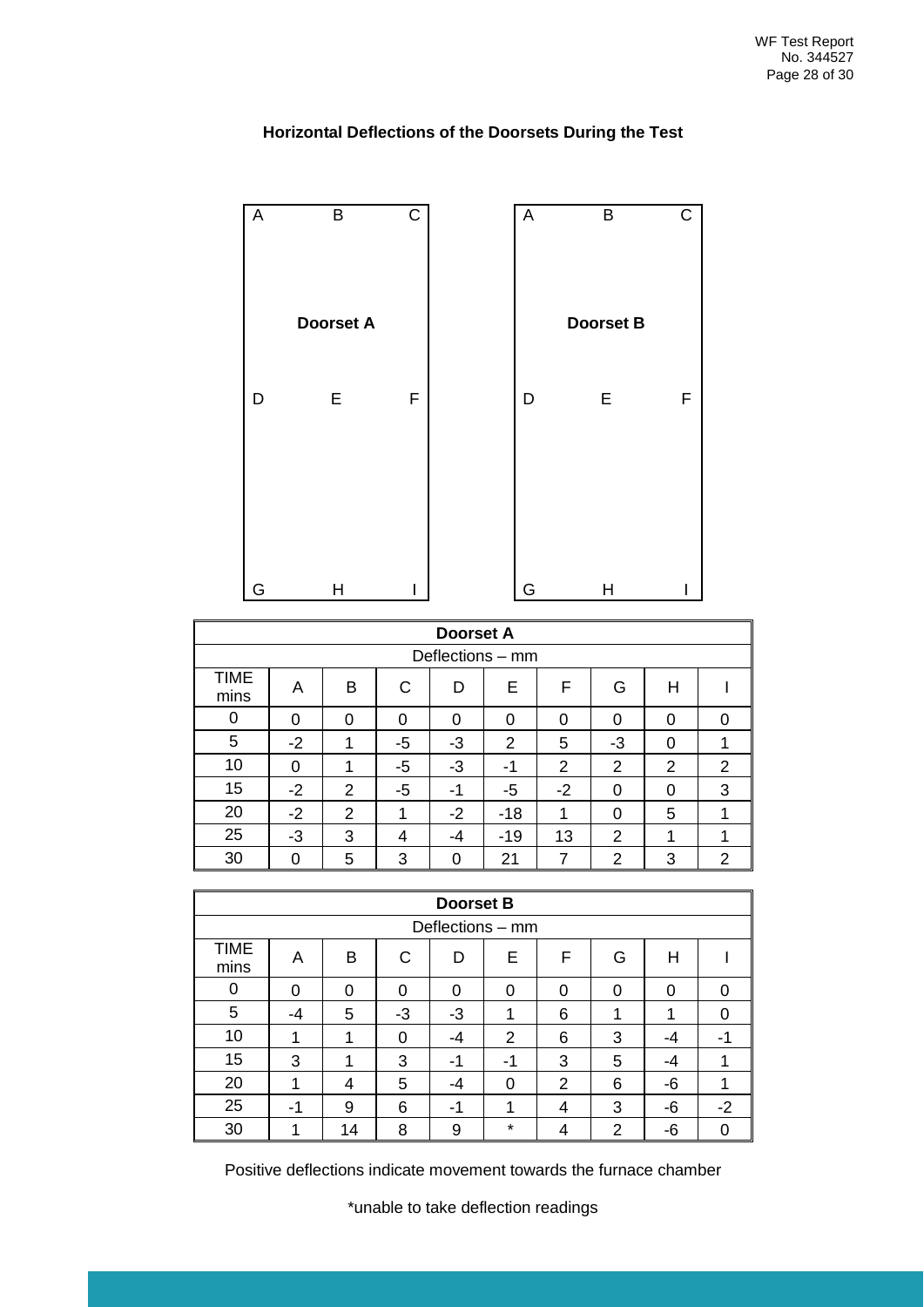

#### **Horizontal Deflections of the Doorsets During the Test**

|                     | <b>Doorset A</b> |   |              |      |                |      |          |          |   |  |
|---------------------|------------------|---|--------------|------|----------------|------|----------|----------|---|--|
|                     | Deflections - mm |   |              |      |                |      |          |          |   |  |
| <b>TIME</b><br>mins | A                | в | $\mathsf{C}$ | D    | E              | F    | G        | Н        |   |  |
| 0                   | $\Omega$         | 0 | 0            | 0    | 0              | 0    | $\Omega$ | 0        | O |  |
| 5                   | $-2$             | 1 | -5           | $-3$ | $\overline{2}$ | 5    | -3       | $\Omega$ |   |  |
| 10                  | $\Omega$         | ◢ | -5           | -3   | -1             | 2    | 2        | 2        | 2 |  |
| 15                  | $-2$             | 2 | $-5$         | -1   | -5             | $-2$ | 0        | 0        | 3 |  |
| 20                  | $-2$             | 2 | 1            | $-2$ | $-18$          | 1    | 0        | 5        |   |  |
| 25                  | $-3$             | 3 | 4            | -4   | $-19$          | 13   | 2        | 1        |   |  |
| 30                  | 0                | 5 | 3            | O    | 21             | 7    | 2        | 3        | 2 |  |

|              | <b>Doorset B</b> |    |    |      |                |   |   |          |      |
|--------------|------------------|----|----|------|----------------|---|---|----------|------|
|              | Deflections - mm |    |    |      |                |   |   |          |      |
| TIME<br>mins | Α                | B  | C  | D    | Е              | F | G | Н        |      |
| 0            | 0                | 0  | 0  | 0    | 0              | 0 | 0 | $\Omega$ | ∩    |
| 5            | -4               | 5  | -3 | $-3$ |                | 6 | и | 1        | ∩    |
| 10           |                  |    | 0  | $-4$ | $\overline{2}$ | 6 | 3 | -4       | -1   |
| 15           | 3                | 1  | 3  | -1   | -1             | 3 | 5 | -4       |      |
| 20           |                  | 4  | 5  | -4   | 0              | 2 | 6 | -6       |      |
| 25           | -                | 9  | 6  | -1   | ٠              | 4 | 3 | -6       | $-2$ |
| 30           |                  | 14 | 8  | 9    | $\star$        | 4 | 2 | -6       |      |

Positive deflections indicate movement towards the furnace chamber

\*unable to take deflection readings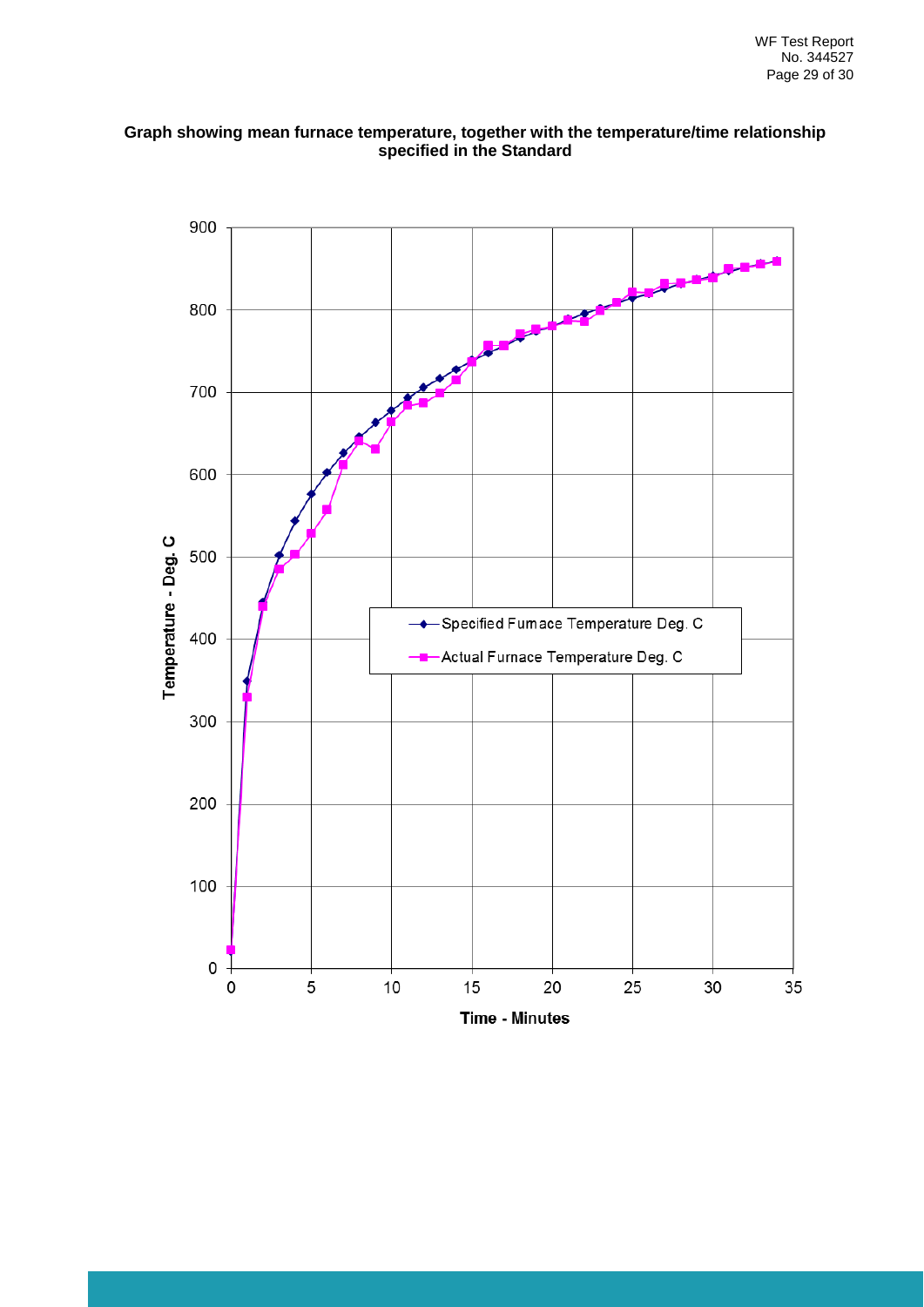

#### **Graph showing mean furnace temperature, together with the temperature/time relationship specified in the Standard**